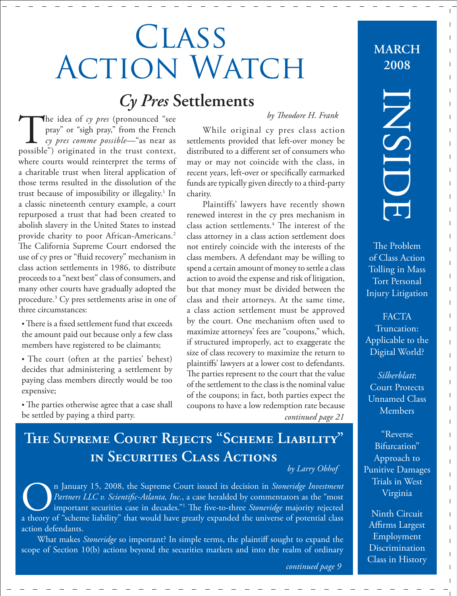# **CLASS** ACTION WATCH

# *Cy Pres* Settlements<br>The idea of cy pres (pronounced "see

*by Th eodore H. Frank*

The idea of *cy pres* (pronounced "see<br>pray" or "sigh pray," from the French<br>*cy pres comme possible*—"as near as<br>possible") originated in the trust context. pray" or "sigh pray," from the French *cy pres comme possible—*"as near as possible") originated in the trust context, where courts would reinterpret the terms of a charitable trust when literal application of those terms resulted in the dissolution of the trust because of impossibility or illegality.<sup>1</sup> In a classic nineteenth century example, a court repurposed a trust that had been created to abolish slavery in the United States to instead provide charity to poor African-Americans.2 The California Supreme Court endorsed the use of cy pres or "fluid recovery" mechanism in class action settlements in 1986, to distribute proceeds to a "next best" class of consumers, and many other courts have gradually adopted the procedure.3 Cy pres settlements arise in one of three circumstances:

• There is a fixed settlement fund that exceeds the amount paid out because only a few class members have registered to be claimants;

• The court (often at the parties' behest) decides that administering a settlement by paying class members directly would be too expensive;

• The parties otherwise agree that a case shall be settled by paying a third party.

While original cy pres class action settlements provided that left-over money be distributed to a different set of consumers who may or may not coincide with the class, in recent years, left-over or specifically earmarked funds are typically given directly to a third-party charity.

*continued page 21* Plaintiffs' lawyers have recently shown renewed interest in the cy pres mechanism in class action settlements.<sup>4</sup> The interest of the class attorney in a class action settlement does not entirely coincide with the interests of the class members. A defendant may be willing to spend a certain amount of money to settle a class action to avoid the expense and risk of litigation, but that money must be divided between the class and their attorneys. At the same time, a class action settlement must be approved by the court. One mechanism often used to maximize attorneys' fees are "coupons," which, if structured improperly, act to exaggerate the size of class recovery to maximize the return to plaintiffs' lawyers at a lower cost to defendants. The parties represent to the court that the value of the settlement to the class is the nominal value of the coupons; in fact, both parties expect the coupons to have a low redemption rate because

### **The Supreme Court Rejects "Scheme Liability" in Securities Class Actions**

*by Larry Obhof*

On January 15, 2008, the Supreme Court issued its decision in *Stoneridge Investment*<br>*Partners LLC v. Scientific-Atlanta, Inc.*, a case heralded by commentators as the "most<br>important securities case in decades."<sup>1</sup> The f *Partners LLC v. Scientific-Atlanta, Inc., a case heralded by commentators as the "most* important securities case in decades."<sup>1</sup> The five-to-three *Stoneridge* majority rejected a theory of "scheme liability" that would have greatly expanded the universe of potential class action defendants.

What makes *Stoneridge* so important? In simple terms, the plaintiff sought to expand the scope of Section 10(b) actions beyond the securities markets and into the realm of ordinary

### **MARCH 2008**

INSIDE

The Problem of Class Action Tolling in Mass Tort Personal Injury Litigation

**FACTA** Truncation: Applicable to the Digital World?

*Silberblatt*: Court Protects Unnamed Class Members

"Reverse Bifurcation" Approach to Punitive Damages Trials in West Virginia

Ninth Circuit Affirms Largest Employment Discrimination Class in History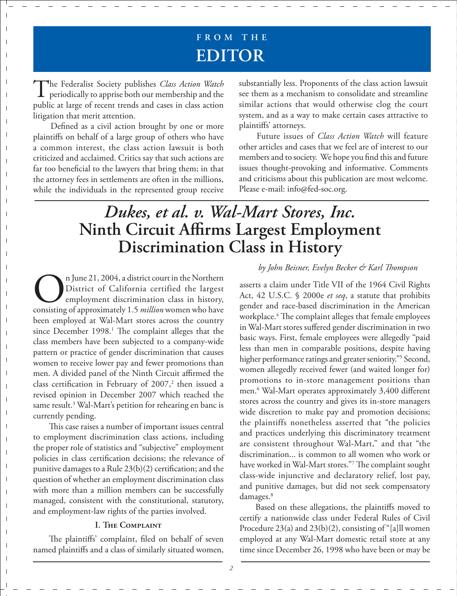### **FROM THE EDITOR**

The Federalist Society publishes *Class Action Watch*<br>periodically to apprise both our membership and the public at large of recent trends and cases in class action litigation that merit attention.

Defined as a civil action brought by one or more plaintiffs on behalf of a large group of others who have a common interest, the class action lawsuit is both criticized and acclaimed. Critics say that such actions are far too beneficial to the lawyers that bring them; in that the attorney fees in settlements are often in the millions, while the individuals in the represented group receive

substantially less. Proponents of the class action lawsuit see them as a mechanism to consolidate and streamline similar actions that would otherwise clog the court system, and as a way to make certain cases attractive to plaintiffs' attorneys.

Future issues of *Class Action Watch* will feature other articles and cases that we feel are of interest to our members and to society. We hope you find this and future issues thought-provoking and informative. Comments and criticisms about this publication are most welcome. Please e-mail: info@fed-soc.org.

# $D$ Ninth Circuit Affirms Largest Employment **Discrimination Class in History**

On June 21, 2004, a district court in the Northern<br>District of California certified the largest<br>employment discrimination class in history,<br>consisting of approximately 1.5 *million* women who have District of California certified the largest employment discrimination class in history, consisting of approximately 1.5 *million* women who have been employed at Wal-Mart stores across the country since December 1998.<sup>1</sup> The complaint alleges that the class members have been subjected to a company-wide pattern or practice of gender discrimination that causes women to receive lower pay and fewer promotions than men. A divided panel of the Ninth Circuit affirmed the class certification in February of  $2007$ ,<sup>2</sup> then issued a revised opinion in December 2007 which reached the same result.<sup>3</sup> Wal-Mart's petition for rehearing en banc is currently pending.

This case raises a number of important issues central to employment discrimination class actions, including the proper role of statistics and "subjective" employment policies in class certification decisions; the relevance of punitive damages to a Rule  $23(b)(2)$  certification; and the question of whether an employment discrimination class with more than a million members can be successfully managed, consistent with the constitutional, statutory, and employment-law rights of the parties involved.

#### **I. The Complaint**

The plaintiffs' complaint, filed on behalf of seven named plaintiffs and a class of similarly situated women,

#### *by John Beisner, Evelyn Becker & Karl Th ompson*

asserts a claim under Title VII of the 1964 Civil Rights Act, 42 U.S.C. § 2000e *et seq*, a statute that prohibits gender and race-based discrimination in the American workplace.<sup>4</sup> The complaint alleges that female employees in Wal-Mart stores suffered gender discrimination in two basic ways. First, female employees were allegedly "paid less than men in comparable positions, despite having higher performance ratings and greater seniority."<sup>5</sup> Second, women allegedly received fewer (and waited longer for) promotions to in-store management positions than men.<sup>6</sup> Wal-Mart operates approximately 3,400 different stores across the country and gives its in-store managers wide discretion to make pay and promotion decisions; the plaintiffs nonetheless asserted that "the policies and practices underlying this discriminatory treatment are consistent throughout Wal-Mart," and that "the discrimination... is common to all women who work or have worked in Wal-Mart stores."7 The complaint sought class-wide injunctive and declaratory relief, lost pay, and punitive damages, but did not seek compensatory damages.<sup>8</sup>

Based on these allegations, the plaintiffs moved to certify a nationwide class under Federal Rules of Civil Procedure 23(a) and 23(b)(2), consisting of "[a]ll women employed at any Wal-Mart domestic retail store at any time since December 26, 1998 who have been or may be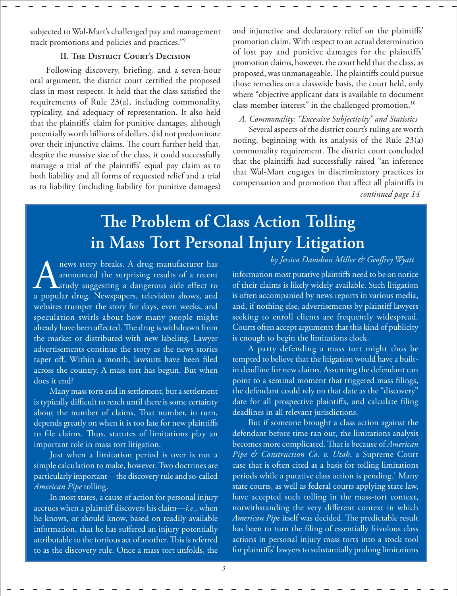subjected to Wal-Mart's challenged pay and management track promotions and policies and practices."9

#### **II. The District Court's Decision**

Following discovery, briefing, and a seven-hour oral argument, the district court certified the proposed class in most respects. It held that the class satisfied the requirements of Rule 23(a), including commonality, typicality, and adequacy of representation. It also held that the plaintiffs' claim for punitive damages, although potentially worth billions of dollars, did not predominate over their injunctive claims. The court further held that, despite the massive size of the class, it could successfully manage a trial of the plaintiffs' equal pay claim as to both liability and all forms of requested relief and a trial as to liability (including liability for punitive damages) and injunctive and declaratory relief on the plaintiffs' promotion claim. With respect to an actual determination of lost pay and punitive damages for the plaintiffs' promotion claims, however, the court held that the class, as proposed, was unmanageable. The plaintiffs could pursue those remedies on a classwide basis, the court held, only where "objective applicant data is available to document class member interest" in the challenged promotion.<sup>10</sup>

*A. Commonality: "Excessive Subjectivity" and Statistics*

Several aspects of the district court's ruling are worth noting, beginning with its analysis of the Rule 23(a) commonality requirement. The district court concluded that the plaintiffs had successfully raised "an inference that Wal-Mart engages in discriminatory practices in compensation and promotion that affect all plaintiffs in *continued page 14*

### The Problem of Class Action Tolling **in Mass Tort Personal Injury Litigation**

news story breaks. A drug manufacturer has<br>announced the surprising results of a recent<br>study suggesting a dangerous side effect to<br>a popular drug. Newspapers, television shows, and announced the surprising results of a recent study suggesting a dangerous side effect to a popular drug. Newspapers, television shows, and websites trumpet the story for days, even weeks, and speculation swirls about how many people might already have been affected. The drug is withdrawn from the market or distributed with new labeling. Lawyer advertisements continue the story as the news stories taper off. Within a month, lawsuits have been filed across the country. A mass tort has begun. But when does it end?

Many mass torts end in settlement, but a settlement is typically difficult to reach until there is some certainty about the number of claims. That number, in turn, depends greatly on when it is too late for new plaintiffs to file claims. Thus, statutes of limitations play an important role in mass tort litigation.

Just when a limitation period is over is not a simple calculation to make, however. Two doctrines are particularly important—the discovery rule and so-called *American Pipe* tolling.

In most states, a cause of action for personal injury accrues when a plaintiff discovers his claim—*i.e.,* when he knows, or should know, based on readily available information, that he has suffered an injury potentially attributable to the tortious act of another. This is referred to as the discovery rule. Once a mass tort unfolds, the *by Jessica Davidson Miller & Geoff rey Wyatt*

information most putative plaintiffs need to be on notice of their claims is likely widely available. Such litigation is often accompanied by news reports in various media, and, if nothing else, advertisements by plaintiff lawyers seeking to enroll clients are frequently widespread. Courts often accept arguments that this kind of publicity is enough to begin the limitations clock.

A party defending a mass tort might thus be tempted to believe that the litigation would have a builtin deadline for new claims. Assuming the defendant can point to a seminal moment that triggered mass filings, the defendant could rely on that date as the "discovery" date for all prospective plaintiffs, and calculate filing deadlines in all relevant jurisdictions.

But if someone brought a class action against the defendant before time ran out, the limitations analysis becomes more complicated. That is because of *American Pipe & Construction Co. v. Utah*, a Supreme Court case that is often cited as a basis for tolling limitations periods while a putative class action is pending.<sup>1</sup> Many state courts, as well as federal courts applying state law, have accepted such tolling in the mass-tort context, notwithstanding the very different context in which *American Pipe* itself was decided. The predictable result has been to turn the filing of essentially frivolous class actions in personal injury mass torts into a stock tool for plaintiffs' lawyers to substantially prolong limitations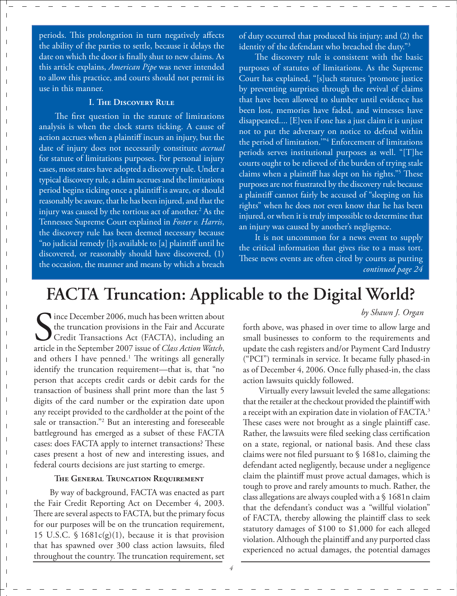periods. This prolongation in turn negatively affects the ability of the parties to settle, because it delays the date on which the door is finally shut to new claims. As this article explains, *American Pipe* was never intended to allow this practice, and courts should not permit its use in this manner.

#### **I. The Discovery Rule**

The first question in the statute of limitations analysis is when the clock starts ticking. A cause of action accrues when a plaintiff incurs an injury, but the date of injury does not necessarily constitute *accrual* for statute of limitations purposes. For personal injury cases, most states have adopted a discovery rule. Under a typical discovery rule, a claim accrues and the limitations period begins ticking once a plaintiff is aware, or should reasonably be aware, that he has been injured, and that the injury was caused by the tortious act of another. $^2$  As the Tennessee Supreme Court explained in *Foster v. Harris*, the discovery rule has been deemed necessary because "no judicial remedy [i]s available to [a] plaintiff until he discovered, or reasonably should have discovered, (1) the occasion, the manner and means by which a breach

of duty occurred that produced his injury; and (2) the identity of the defendant who breached the duty."<sup>3</sup>

The discovery rule is consistent with the basic purposes of statutes of limitations. As the Supreme Court has explained, "[s]uch statutes 'promote justice by preventing surprises through the revival of claims that have been allowed to slumber until evidence has been lost, memories have faded, and witnesses have disappeared.... [E]ven if one has a just claim it is unjust not to put the adversary on notice to defend within the period of limitation.'"4 Enforcement of limitations periods serves institutional purposes as well. "[T]he courts ought to be relieved of the burden of trying stale claims when a plaintiff has slept on his rights."<sup>5</sup> These purposes are not frustrated by the discovery rule because a plaintiff cannot fairly be accused of "sleeping on his rights" when he does not even know that he has been injured, or when it is truly impossible to determine that an injury was caused by another's negligence.

It is not uncommon for a news event to supply the critical information that gives rise to a mass tort. These news events are often cited by courts as putting *continued page 24*

### **FACTA Truncation: Applicable to the Digital World?**

S<br>article ince December 2006, much has been written about the truncation provisions in the Fair and Accurate Credit Transactions Act (FACTA), including an article in the September 2007 issue of *Class Action Watch*, and others I have penned.<sup>1</sup> The writings all generally identify the truncation requirement—that is, that "no person that accepts credit cards or debit cards for the transaction of business shall print more than the last 5 digits of the card number or the expiration date upon any receipt provided to the cardholder at the point of the sale or transaction."2 But an interesting and foreseeable battleground has emerged as a subset of these FACTA cases: does FACTA apply to internet transactions? These cases present a host of new and interesting issues, and federal courts decisions are just starting to emerge.

#### **The General Truncation Requirement**

By way of background, FACTA was enacted as part the Fair Credit Reporting Act on December 4, 2003. There are several aspects to FACTA, but the primary focus for our purposes will be on the truncation requirement, 15 U.S.C.  $\frac{1}{5}$  1681c(g)(1), because it is that provision that has spawned over 300 class action lawsuits, filed throughout the country. The truncation requirement, set forth above, was phased in over time to allow large and small businesses to conform to the requirements and update the cash registers and/or Payment Card Industry ("PCI") terminals in service. It became fully phased-in as of December 4, 2006. Once fully phased-in, the class action lawsuits quickly followed.

*by Shawn J. Organ*

Virtually every lawsuit leveled the same allegations: that the retailer at the checkout provided the plaintiff with a receipt with an expiration date in violation of FACTA.3 These cases were not brought as a single plaintiff case. Rather, the lawsuits were filed seeking class certification on a state, regional, or national basis. And these class claims were not filed pursuant to  $\S$  1681o, claiming the defendant acted negligently, because under a negligence claim the plaintiff must prove actual damages, which is tough to prove and rarely amounts to much. Rather, the class allegations are always coupled with a § 1681n claim that the defendant's conduct was a "willful violation" of FACTA, thereby allowing the plaintiff class to seek statutory damages of \$100 to \$1,000 for each alleged violation. Although the plaintiff and any purported class experienced no actual damages, the potential damages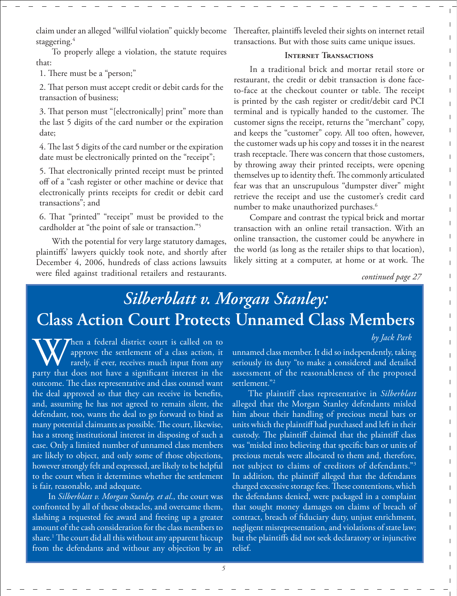staggering.<sup>4</sup>

To properly allege a violation, the statute requires that:

1. There must be a "person;"

2. That person must accept credit or debit cards for the transaction of business;

3. That person must "[electronically] print" more than the last 5 digits of the card number or the expiration date;

4. The last 5 digits of the card number or the expiration date must be electronically printed on the "receipt";

5. That electronically printed receipt must be printed off of a "cash register or other machine or device that electronically prints receipts for credit or debit card transactions"; and

6. That "printed" "receipt" must be provided to the cardholder at "the point of sale or transaction."5

With the potential for very large statutory damages, plaintiffs' lawyers quickly took note, and shortly after December 4, 2006, hundreds of class actions lawsuits were filed against traditional retailers and restaurants.

claim under an alleged "willful violation" quickly become Thereafter, plaintiffs leveled their sights on internet retail transactions. But with those suits came unique issues.

#### **Internet Transactions**

In a traditional brick and mortar retail store or restaurant, the credit or debit transaction is done faceto-face at the checkout counter or table. The receipt is printed by the cash register or credit/debit card PCI terminal and is typically handed to the customer. The customer signs the receipt, returns the "merchant" copy, and keeps the "customer" copy. All too often, however, the customer wads up his copy and tosses it in the nearest trash receptacle. There was concern that those customers, by throwing away their printed receipts, were opening themselves up to identity theft. The commonly articulated fear was that an unscrupulous "dumpster diver" might retrieve the receipt and use the customer's credit card number to make unauthorized purchases.<sup>6</sup>

Compare and contrast the typical brick and mortar transaction with an online retail transaction. With an online transaction, the customer could be anywhere in the world (as long as the retailer ships to that location), likely sitting at a computer, at home or at work. The

*continued page 27*

*by Jack Park*

### *Silberblatt v. Morgan Stanley:* **Class Action Court Protects Unnamed Class Members**

When a federal district court is called on to<br>approve the settlement of a class action, it<br>rarely, if ever, receives much input from any<br>party that does not have a significant interest in the approve the settlement of a class action, it rarely, if ever, receives much input from any party that does not have a significant interest in the outcome. The class representative and class counsel want the deal approved so that they can receive its benefits, and, assuming he has not agreed to remain silent, the defendant, too, wants the deal to go forward to bind as many potential claimants as possible. The court, likewise, has a strong institutional interest in disposing of such a case. Only a limited number of unnamed class members are likely to object, and only some of those objections, however strongly felt and expressed, are likely to be helpful to the court when it determines whether the settlement is fair, reasonable, and adequate.

In *Silberblatt v. Morgan Stanley, et al*., the court was confronted by all of these obstacles, and overcame them, slashing a requested fee award and freeing up a greater amount of the cash consideration for the class members to share.<sup>1</sup> The court did all this without any apparent hiccup from the defendants and without any objection by an

unnamed class member. It did so independently, taking seriously its duty "to make a considered and detailed assessment of the reasonableness of the proposed settlement."2

The plaintiff class representative in *Silberblatt* alleged that the Morgan Stanley defendants misled him about their handling of precious metal bars or units which the plaintiff had purchased and left in their custody. The plaintiff claimed that the plaintiff class was "misled into believing that specific bars or units of precious metals were allocated to them and, therefore, not subject to claims of creditors of defendants."3 In addition, the plaintiff alleged that the defendants charged excessive storage fees. These contentions, which the defendants denied, were packaged in a complaint that sought money damages on claims of breach of contract, breach of fiduciary duty, unjust enrichment, negligent misrepresentation, and violations of state law; but the plaintiffs did not seek declaratory or injunctive relief.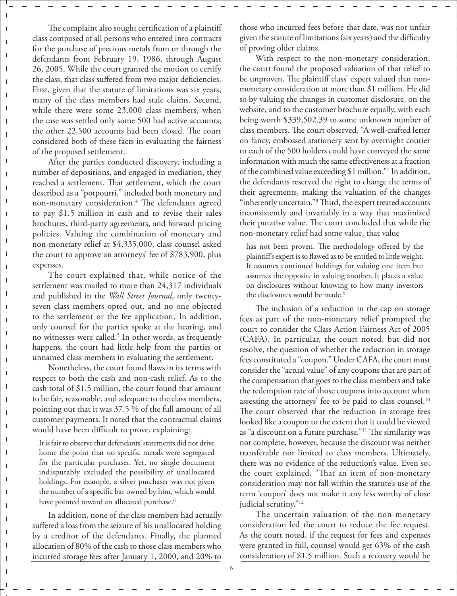The complaint also sought certification of a plaintiff class composed of all persons who entered into contracts for the purchase of precious metals from or through the defendants from February 19, 1986, through August 26, 2005. While the court granted the motion to certify the class, that class suffered from two major deficiencies. First, given that the statute of limitations was six years, many of the class members had stale claims. Second, while there were some 23,000 class members, when the case was settled only some 500 had active accounts; the other 22,500 accounts had been closed. The court considered both of these facts in evaluating the fairness of the proposed settlement.

After the parties conducted discovery, including a number of depositions, and engaged in mediation, they reached a settlement. That settlement, which the court described as a "potpourri," included both monetary and non-monetary consideration.<sup>4</sup> The defendants agreed to pay \$1.5 million in cash and to revise their sales brochures, third-party agreements, and forward pricing policies. Valuing the combination of monetary and non-monetary relief at \$4,335,000, class counsel asked the court to approve an attorneys' fee of \$783,900, plus expenses.

The court explained that, while notice of the settlement was mailed to more than 24,317 individuals and published in the *Wall Street Journal*, only twentyseven class members opted out, and no one objected to the settlement or the fee application. In addition, only counsel for the parties spoke at the hearing, and no witnesses were called.<sup>5</sup> In other words, as frequently happens, the court had little help from the parties or unnamed class members in evaluating the settlement.

Nonetheless, the court found flaws in its terms with respect to both the cash and non-cash relief. As to the cash total of \$1.5 million, the court found that amount to be fair, reasonable, and adequate to the class members, pointing out that it was 37.5 % of the full amount of all customer payments. It noted that the contractual claims would have been difficult to prove, explaining:

It is fair to observe that defendants' statements did not drive home the point that no specific metals were segregated for the particular purchaser. Yet, no single document indisputably excluded the possibility of unallocated holdings. For example, a silver purchaser was not given the number of a specific bar owned by him, which would have pointed toward an allocated purchase.<sup>6</sup>

In addition, none of the class members had actually suffered a loss from the seizure of his unallocated holding by a creditor of the defendants. Finally, the planned allocation of 80% of the cash to those class members who incurred storage fees after January 1, 2000, and 20% to

those who incurred fees before that date, was not unfair given the statute of limitations (six years) and the difficulty of proving older claims.

With respect to the non-monetary consideration, the court found the proposed valuation of that relief to be unproven. The plaintiff class' expert valued that nonmonetary consideration at more than \$1 million. He did so by valuing the changes in customer disclosure, on the website, and to the customer brochure equally, with each being worth \$339,502.39 to some unknown number of class members. The court observed, "A well-crafted letter on fancy, embossed stationery sent by overnight courier to each of the 500 holders could have conveyed the same information with much the same effectiveness at a fraction of the combined value exceeding \$1 million."7 In addition, the defendants reserved the right to change the terms of their agreements, making the valuation of the changes "inherently uncertain."<sup>8</sup> Third, the expert treated accounts inconsistently and invariably in a way that maximized their putative value. The court concluded that while the non-monetary relief had some value, that value

*continued page 8* assumes the opposite in valuing another. It places a value has not been proven. The methodology offered by the plaintiff's expert is so flawed as to be entitled to little weight. It assumes continued holdings for valuing one item but on disclosures without knowing to how many investors the disclosures would be made.<sup>9</sup>

The inclusion of a reduction in the cap on storage fees as part of the non-monetary relief prompted the court to consider the Class Action Fairness Act of 2005 (CAFA). In particular, the court noted, but did not resolve, the question of whether the reduction in storage fees constituted a "coupon." Under CAFA, the court must consider the "actual value" of any coupons that are part of the compensation that goes to the class members and take the redemption rate of those coupons into account when assessing the attorneys' fee to be paid to class counsel.<sup>10</sup> The court observed that the reduction in storage fees looked like a coupon to the extent that it could be viewed as "a discount on a future purchase."<sup>11</sup> The similarity was not complete, however, because the discount was neither transferable nor limited to class members. Ultimately, there was no evidence of the reduction's value. Even so, the court explained, "That an item of non-monetary consideration may not fall within the statute's use of the term 'coupon' does not make it any less worthy of close judicial scrutiny."12

The uncertain valuation of the non-monetary consideration led the court to reduce the fee request. As the court noted, if the request for fees and expenses were granted in full, counsel would get 63% of the cash consideration of \$1.5 million. Such a recovery would be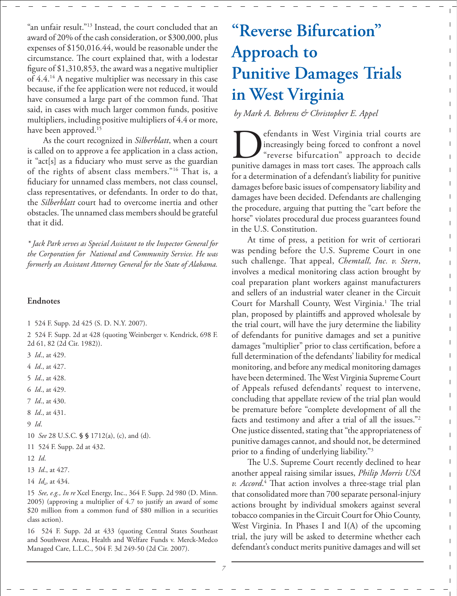"an unfair result."13 Instead, the court concluded that an award of 20% of the cash consideration, or \$300,000, plus expenses of \$150,016.44, would be reasonable under the circumstance. The court explained that, with a lodestar figure of  $$1,310,853$ , the award was a negative multiplier of 4.4.14 A negative multiplier was necessary in this case because, if the fee application were not reduced, it would have consumed a large part of the common fund. That said, in cases with much larger common funds, positive multipliers, including positive multipliers of 4.4 or more, have been approved.<sup>15</sup>

As the court recognized in *Silberblatt*, when a court is called on to approve a fee application in a class action, it " $act[s]$  as a fiduciary who must serve as the guardian of the rights of absent class members."16 That is, a fiduciary for unnamed class members, not class counsel, class representatives, or defendants. In order to do that, the *Silberblatt* court had to overcome inertia and other obstacles. The unnamed class members should be grateful that it did.

*\* Jack Park serves as Special Assistant to the Inspector General for the Corporation for National and Community Service. He was formerly an Assistant Attorney General for the State of Alabama.*

#### **Endnotes**

1 524 F. Supp. 2d 425 (S. D. N.Y. 2007).

2 524 F. Supp. 2d at 428 (quoting Weinberger v. Kendrick, 698 F. 2d 61, 82 (2d Cir. 1982)).

- 3 *Id*., at 429.
- 4 *Id*., at 427.
- 5 *Id*., at 428.
- 6 *Id*., at 429.
- 7 *Id*., at 430.
- 8 *Id*., at 431.
- 9 *Id*.

10 *See* 28 U.S.C. **§ §** 1712(a), (c), and (d).

- 11 524 F. Supp. 2d at 432.
- 12 *Id*.
- 13 *Id*., at 427.
- 14 *Id*., at 434.

15 *See, e.g., In re* Xcel Energy, Inc., 364 F. Supp. 2d 980 (D. Minn. 2005) (approving a multiplier of 4.7 to justify an award of some \$20 million from a common fund of \$80 million in a securities class action).

16 524 F. Supp. 2d at 433 (quoting Central States Southeast and Southwest Areas, Health and Welfare Funds v. Merck-Medco Managed Care, L.L.C., 504 F. 3d 249-50 (2d Cir. 2007).

### **"Reverse Bifurcation" Approach to Punitive Damages Trials in West Virginia**

*by Mark A. Behrens & Christopher E. Appel*

**Defendants in West Virginia trial courts are** increasingly being forced to confront a novel "reverse bifurcation" approach to decide punitive damages in mass tort cases. The approach calls increasingly being forced to confront a novel "reverse bifurcation" approach to decide punitive damages in mass tort cases. The approach calls for a determination of a defendant's liability for punitive damages before basic issues of compensatory liability and damages have been decided. Defendants are challenging the procedure, arguing that putting the "cart before the horse" violates procedural due process guarantees found in the U.S. Constitution.

At time of press, a petition for writ of certiorari was pending before the U.S. Supreme Court in one such challenge. That appeal, *Chemtall*, Inc. v. Stern, involves a medical monitoring class action brought by coal preparation plant workers against manufacturers and sellers of an industrial water cleaner in the Circuit Court for Marshall County, West Virginia.<sup>1</sup> The trial plan, proposed by plaintiffs and approved wholesale by the trial court, will have the jury determine the liability of defendants for punitive damages and set a punitive damages "multiplier" prior to class certification, before a full determination of the defendants' liability for medical monitoring, and before any medical monitoring damages have been determined. The West Virginia Supreme Court of Appeals refused defendants' request to intervene, concluding that appellate review of the trial plan would be premature before "complete development of all the facts and testimony and after a trial of all the issues."2 One justice dissented, stating that "the appropriateness of punitive damages cannot, and should not, be determined prior to a finding of underlying liability."<sup>3</sup>

The U.S. Supreme Court recently declined to hear another appeal raising similar issues, *Philip Morris USA*  v. Accord.<sup>4</sup> That action involves a three-stage trial plan that consolidated more than 700 separate personal-injury actions brought by individual smokers against several tobacco companies in the Circuit Court for Ohio County, West Virginia. In Phases I and I(A) of the upcoming trial, the jury will be asked to determine whether each defendant's conduct merits punitive damages and will set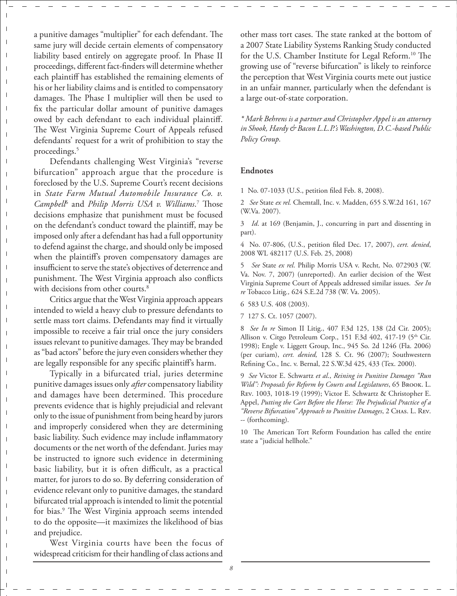a punitive damages "multiplier" for each defendant. The same jury will decide certain elements of compensatory liability based entirely on aggregate proof. In Phase II proceedings, different fact-finders will determine whether each plaintiff has established the remaining elements of his or her liability claims and is entitled to compensatory damages. The Phase I multiplier will then be used to fix the particular dollar amount of punitive damages owed by each defendant to each individual plaintiff. The West Virginia Supreme Court of Appeals refused defendants' request for a writ of prohibition to stay the proceedings.<sup>5</sup>

Defendants challenging West Virginia's "reverse bifurcation" approach argue that the procedure is foreclosed by the U.S. Supreme Court's recent decisions in *State Farm Mutual Automobile Insurance Co. v.*  Campbell<sup>6</sup> and *Philip Morris USA v. Williams*.<sup>7</sup> Those decisions emphasize that punishment must be focused on the defendant's conduct toward the plaintiff, may be imposed only after a defendant has had a full opportunity to defend against the charge, and should only be imposed when the plaintiff's proven compensatory damages are insufficient to serve the state's objectives of deterrence and punishment. The West Virginia approach also conflicts with decisions from other courts.<sup>8</sup>

Critics argue that the West Virginia approach appears intended to wield a heavy club to pressure defendants to settle mass tort claims. Defendants may find it virtually impossible to receive a fair trial once the jury considers issues relevant to punitive damages. They may be branded as "bad actors" before the jury even considers whether they are legally responsible for any specific plaintiff's harm.

Typically in a bifurcated trial, juries determine punitive damages issues only *after* compensatory liability and damages have been determined. This procedure prevents evidence that is highly prejudicial and relevant only to the issue of punishment from being heard by jurors and improperly considered when they are determining basic liability. Such evidence may include inflammatory documents or the net worth of the defendant. Juries may be instructed to ignore such evidence in determining basic liability, but it is often difficult, as a practical matter, for jurors to do so. By deferring consideration of evidence relevant only to punitive damages, the standard bifurcated trial approach is intended to limit the potential for bias.<sup>9</sup> The West Virginia approach seems intended to do the opposite—it maximizes the likelihood of bias and prejudice.

*Concluded on page 9* widespread criticism for their handling of class actions and West Virginia courts have been the focus of

other mass tort cases. The state ranked at the bottom of a 2007 State Liability Systems Ranking Study conducted for the U.S. Chamber Institute for Legal Reform.<sup>10</sup> The growing use of "reverse bifurcation" is likely to reinforce the perception that West Virginia courts mete out justice in an unfair manner, particularly when the defendant is a large out-of-state corporation.

*\* Mark Behrens is a partner and Christopher Appel is an attorney in Shook, Hardy & Bacon L.L.P.'s Washington, D.C.-based Public Policy Group.*

#### **Endnotes**

1 No. 07-1033 (U.S., petition filed Feb. 8, 2008).

2 *See* State *ex rel.* Chemtall, Inc. v. Madden, 655 S.W.2d 161, 167 (W.Va. 2007).

3 *Id*. at 169 (Benjamin, J., concurring in part and dissenting in part).

4 No. 07-806, (U.S., petition filed Dec. 17, 2007), cert. denied, 2008 WL 482117 (U.S. Feb. 25, 2008)

5 *See* State *ex rel*. Philip Morris USA v. Recht*,* No. 072903 (W. Va. Nov. 7, 2007) (unreported). An earlier decision of the West Virginia Supreme Court of Appeals addressed similar issues. *See In re* Tobacco Litig*.,* 624 S.E.2d 738 (W. Va. 2005).

6 583 U.S. 408 (2003).

7 127 S. Ct. 1057 (2007).

8 *See In re* Simon II Litig., 407 F.3d 125, 138 (2d Cir. 2005); Allison v. Citgo Petroleum Corp., 151 F.3d 402, 417-19 (5<sup>th</sup> Cir. 1998); Engle v. Liggett Group, Inc., 945 So. 2d 1246 (Fla. 2006) (per curiam), *cert. denied,* 128 S. Ct. 96 (2007); Southwestern Refining Co., Inc. v. Bernal, 22 S.W.3d 425, 433 (Tex. 2000).

9 *See* Victor E. Schwartz *et al*., *Reining in Punitive Damages "Run Wild": Proposals for Reform by Courts and Legislatures*, 65 Brook. L. Rev. 1003, 1018-19 (1999); Victor E. Schwartz & Christopher E. Appel, Putting the Cart Before the Horse: The Prejudicial Practice of a *"Reverse Bifurcation" Approach to Punitive Damages*, 2 Chas. L. Rev. -- (forthcoming).

10 The American Tort Reform Foundation has called the entire state a "judicial hellhole."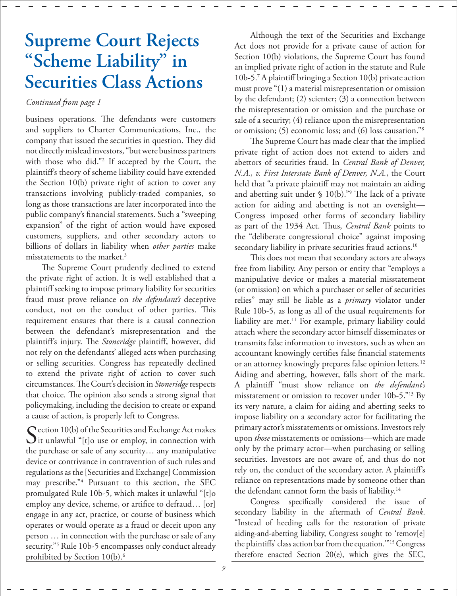### **Supreme Court Rejects "Scheme Liability" in Securities Class Actions**

#### *Continued from page 1*

business operations. The defendants were customers and suppliers to Charter Communications, Inc., the company that issued the securities in question. They did not directly mislead investors, "but were business partners with those who did."2 If accepted by the Court, the plaintiff's theory of scheme liability could have extended the Section 10(b) private right of action to cover any transactions involving publicly-traded companies, so long as those transactions are later incorporated into the public company's financial statements. Such a "sweeping expansion" of the right of action would have exposed customers, suppliers, and other secondary actors to billions of dollars in liability when *other parties* make misstatements to the market.<sup>3</sup>

The Supreme Court prudently declined to extend the private right of action. It is well established that a plaintiff seeking to impose primary liability for securities fraud must prove reliance on *the defendant's* deceptive conduct, not on the conduct of other parties. This requirement ensures that there is a causal connection between the defendant's misrepresentation and the plaintiff's injury. The *Stoneridge* plaintiff, however, did not rely on the defendants' alleged acts when purchasing or selling securities. Congress has repeatedly declined to extend the private right of action to cover such circumstances. The Court's decision in *Stoneridge* respects that choice. The opinion also sends a strong signal that policymaking, including the decision to create or expand a cause of action, is properly left to Congress.

Section 10(b) of the Securities and Exchange Act makes<br>it unlawful "[t]o use or employ, in connection with the purchase or sale of any security… any manipulative device or contrivance in contravention of such rules and regulations as the [Securities and Exchange] Commission may prescribe."4 Pursuant to this section, the SEC promulgated Rule 10b-5, which makes it unlawful "[t]o employ any device, scheme, or artifice to defraud... [or] engage in any act, practice, or course of business which operates or would operate as a fraud or deceit upon any person … in connection with the purchase or sale of any security."5 Rule 10b-5 encompasses only conduct already prohibited by Section 10(b).6

Although the text of the Securities and Exchange Act does not provide for a private cause of action for Section 10(b) violations, the Supreme Court has found an implied private right of action in the statute and Rule 10b-5.7 A plaintiff bringing a Section 10(b) private action must prove "(1) a material misrepresentation or omission by the defendant; (2) scienter; (3) a connection between the misrepresentation or omission and the purchase or sale of a security; (4) reliance upon the misrepresentation or omission; (5) economic loss; and (6) loss causation."8

The Supreme Court has made clear that the implied private right of action does not extend to aiders and abettors of securities fraud. In *Central Bank of Denver, N.A., v. First Interstate Bank of Denver, N.A.*, the Court held that "a private plaintiff may not maintain an aiding and abetting suit under  $\frac{10(b)}{2}$  The lack of a private action for aiding and abetting is not an oversight— Congress imposed other forms of secondary liability as part of the 1934 Act. Thus, *Central Bank* points to the "deliberate congressional choice" against imposing secondary liability in private securities fraud actions.<sup>10</sup>

This does not mean that secondary actors are always free from liability. Any person or entity that "employs a manipulative device or makes a material misstatement (or omission) on which a purchaser or seller of securities relies" may still be liable as a *primary* violator under Rule 10b-5, as long as all of the usual requirements for liability are met.11 For example, primary liability could attach where the secondary actor himself disseminates or transmits false information to investors, such as when an accountant knowingly certifies false financial statements or an attorney knowingly prepares false opinion letters.<sup>12</sup> Aiding and abetting, however, falls short of the mark. A plaintiff "must show reliance on *the defendant's*  misstatement or omission to recover under 10b-5."13 By its very nature, a claim for aiding and abetting seeks to impose liability on a secondary actor for facilitating the primary actor's misstatements or omissions. Investors rely upon *those* misstatements or omissions—which are made only by the primary actor—when purchasing or selling securities. Investors are not aware of, and thus do not rely on, the conduct of the secondary actor. A plaintiff's reliance on representations made by someone other than the defendant cannot form the basis of liability.<sup>14</sup>

Congress specifically considered the issue of secondary liability in the aftermath of *Central Bank*. "Instead of heeding calls for the restoration of private aiding-and-abetting liability, Congress sought to 'remov[e] the plaintiffs' class action bar from the equation."<sup>15</sup> Congress therefore enacted Section 20(e), which gives the SEC,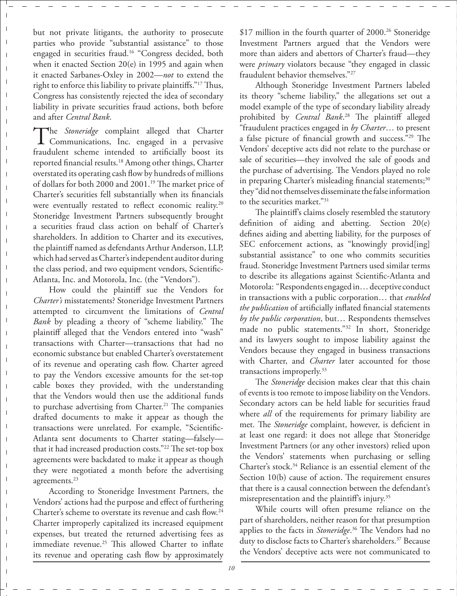but not private litigants, the authority to prosecute parties who provide "substantial assistance" to those engaged in securities fraud.<sup>16</sup> "Congress decided, both when it enacted Section 20(e) in 1995 and again when it enacted Sarbanes-Oxley in 2002—*not* to extend the right to enforce this liability to private plaintiffs."<sup>17</sup> Thus, Congress has consistently rejected the idea of secondary liability in private securities fraud actions, both before and after *Central Bank*.

The *Stoneridge* complaint alleged that Charter<br>Communications, Inc. engaged in a pervasive fraudulent scheme intended to artificially boost its reported financial results.<sup>18</sup> Among other things, Charter overstated its operating cash flow by hundreds of millions of dollars for both 2000 and 2001.<sup>19</sup> The market price of Charter's securities fell substantially when its financials were eventually restated to reflect economic reality.<sup>20</sup> Stoneridge Investment Partners subsequently brought a securities fraud class action on behalf of Charter's shareholders. In addition to Charter and its executives, the plaintiff named as defendants Arthur Anderson, LLP, which had served as Charter's independent auditor during the class period, and two equipment vendors, Scientific-Atlanta, Inc. and Motorola, Inc. (the "Vendors").

How could the plaintiff sue the Vendors for *Charter's* misstatements? Stoneridge Investment Partners attempted to circumvent the limitations of *Central*  Bank by pleading a theory of "scheme liability." The plaintiff alleged that the Vendors entered into "wash" transactions with Charter—transactions that had no economic substance but enabled Charter's overstatement of its revenue and operating cash flow. Charter agreed to pay the Vendors excessive amounts for the set-top cable boxes they provided, with the understanding that the Vendors would then use the additional funds to purchase advertising from Charter.<sup>21</sup> The companies drafted documents to make it appear as though the transactions were unrelated. For example, "Scientific-Atlanta sent documents to Charter stating—falsely that it had increased production costs."<sup>22</sup> The set-top box agreements were backdated to make it appear as though they were negotiated a month before the advertising agreements.<sup>23</sup>

According to Stoneridge Investment Partners, the Vendors' actions had the purpose and effect of furthering Charter's scheme to overstate its revenue and cash flow.<sup>24</sup> Charter improperly capitalized its increased equipment expenses, but treated the returned advertising fees as immediate revenue.<sup>25</sup> This allowed Charter to inflate its revenue and operating cash flow by approximately

\$17 million in the fourth quarter of 2000.<sup>26</sup> Stoneridge Investment Partners argued that the Vendors were more than aiders and abettors of Charter's fraud—they were *primary* violators because "they engaged in classic fraudulent behavior themselves."27

Although Stoneridge Investment Partners labeled its theory "scheme liability," the allegations set out a model example of the type of secondary liability already prohibited by *Central Bank*.<sup>28</sup> The plaintiff alleged "fraudulent practices engaged in *by Charter*… to present a false picture of financial growth and success."<sup>29</sup> The Vendors' deceptive acts did not relate to the purchase or sale of securities—they involved the sale of goods and the purchase of advertising. The Vendors played no role in preparing Charter's misleading financial statements;<sup>30</sup> they "did not themselves disseminate the false information to the securities market."31

The plaintiff's claims closely resembled the statutory definition of aiding and abetting. Section  $20(e)$ defines aiding and abetting liability, for the purposes of SEC enforcement actions, as "knowingly provid[ing] substantial assistance" to one who commits securities fraud. Stoneridge Investment Partners used similar terms to describe its allegations against Scientific-Atlanta and Motorola: "Respondents engaged in… deceptive conduct in transactions with a public corporation… that *enabled the publication* of artificially inflated financial statements *by the public corporation*, but… Respondents themselves made no public statements."32 In short, Stoneridge and its lawyers sought to impose liability against the Vendors because they engaged in business transactions with Charter, and *Charter* later accounted for those transactions improperly.33

The *Stoneridge* decision makes clear that this chain of events is too remote to impose liability on the Vendors. Secondary actors can be held liable for securities fraud where *all* of the requirements for primary liability are met. The *Stoneridge* complaint, however, is deficient in at least one regard: it does not allege that Stoneridge Investment Partners (or any other investors) relied upon the Vendors' statements when purchasing or selling Charter's stock.34 Reliance is an essential element of the Section 10(b) cause of action. The requirement ensures that there is a causal connection between the defendant's misrepresentation and the plaintiff's injury.<sup>35</sup>

While courts will often presume reliance on the part of shareholders, neither reason for that presumption applies to the facts in *Stoneridge*.<sup>36</sup> The Vendors had no duty to disclose facts to Charter's shareholders.<sup>37</sup> Because the Vendors' deceptive acts were not communicated to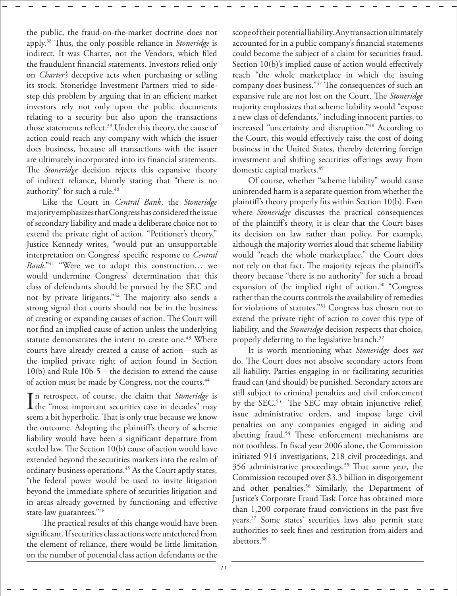the public, the fraud-on-the-market doctrine does not apply.<sup>38</sup> Thus, the only possible reliance in *Stoneridge* is indirect. It was Charter, not the Vendors, which filed the fraudulent financial statements. Investors relied only on *Charter's* deceptive acts when purchasing or selling its stock. Stoneridge Investment Partners tried to sidestep this problem by arguing that in an efficient market investors rely not only upon the public documents relating to a security but also upon the transactions those statements reflect.<sup>39</sup> Under this theory, the cause of action could reach any company with which the issuer does business, because all transactions with the issuer are ultimately incorporated into its financial statements. The *Stoneridge* decision rejects this expansive theory of indirect reliance, bluntly stating that "there is no authority" for such a rule.<sup>40</sup>

Like the Court in *Central Bank*, the *Stoneridge*  majority emphasizes that Congress has considered the issue of secondary liability and made a deliberate choice not to extend the private right of action. "Petitioner's theory," Justice Kennedy writes, "would put an unsupportable interpretation on Congress' specific response to *Central Bank*."41 "Were we to adopt this construction… we would undermine Congress' determination that this class of defendants should be pursued by the SEC and not by private litigants."<sup>42</sup> The majority also sends a strong signal that courts should not be in the business of creating or expanding causes of action. The Court will not find an implied cause of action unless the underlying statute demonstrates the intent to create one.<sup>43</sup> Where courts have already created a cause of action—such as the implied private right of action found in Section 10(b) and Rule 10b-5—the decision to extend the cause of action must be made by Congress, not the courts.<sup>44</sup>

In retrospect, of course, the claim that *Stoneridge* is the "most important securities case in decades" may the "most important securities case in decades" may seem a bit hyperbolic. That is only true because we know the outcome. Adopting the plaintiff's theory of scheme liability would have been a significant departure from settled law. The Section 10(b) cause of action would have extended beyond the securities markets into the realm of ordinary business operations.45 As the Court aptly states, "the federal power would be used to invite litigation beyond the immediate sphere of securities litigation and in areas already governed by functioning and effective state-law guarantees."46

The practical results of this change would have been significant. If securities class actions were untethered from the element of reliance, there would be little limitation on the number of potential class action defendants or the

scope of their potential liability. Any transaction ultimately accounted for in a public company's financial statements could become the subject of a claim for securities fraud. Section  $10(b)$ 's implied cause of action would effectively reach "the whole marketplace in which the issuing company does business."47 The consequences of such an expansive rule are not lost on the Court. The *Stoneridge* majority emphasizes that scheme liability would "expose a new class of defendants," including innocent parties, to increased "uncertainty and disruption."48 According to the Court, this would effectively raise the cost of doing business in the United States, thereby deterring foreign investment and shifting securities offerings away from domestic capital markets.<sup>49</sup>

Of course, whether "scheme liability" would cause unintended harm is a separate question from whether the plaintiff's theory properly fits within Section 10(b). Even where *Stoneridge* discusses the practical consequences of the plaintiff's theory, it is clear that the Court bases its decision on law rather than policy. For example, although the majority worries aloud that scheme liability would "reach the whole marketplace," the Court does not rely on that fact. The majority rejects the plaintiff's theory because "there is no authority" for such a broad expansion of the implied right of action.<sup>50</sup> "Congress rather than the courts controls the availability of remedies for violations of statutes."51 Congress has chosen not to extend the private right of action to cover this type of liability, and the *Stoneridge* decision respects that choice, properly deferring to the legislative branch.<sup>52</sup>

It is worth mentioning what *Stoneridge* does *not* do. The Court does not absolve secondary actors from all liability. Parties engaging in or facilitating securities fraud can (and should) be punished. Secondary actors are still subject to criminal penalties and civil enforcement by the SEC.<sup>53</sup> The SEC may obtain injunctive relief, issue administrative orders, and impose large civil penalties on any companies engaged in aiding and abetting fraud.<sup>54</sup> These enforcement mechanisms are not toothless. In fiscal year 2006 alone, the Commission initiated 914 investigations, 218 civil proceedings, and 356 administrative proceedings.<sup>55</sup> That same year, the Commission recouped over \$3.3 billion in disgorgement and other penalties.<sup>56</sup> Similarly, the Department of Justice's Corporate Fraud Task Force has obtained more than  $1,200$  corporate fraud convictions in the past five years.57 Some states' securities laws also permit state authorities to seek fines and restitution from aiders and abettors.<sup>58</sup>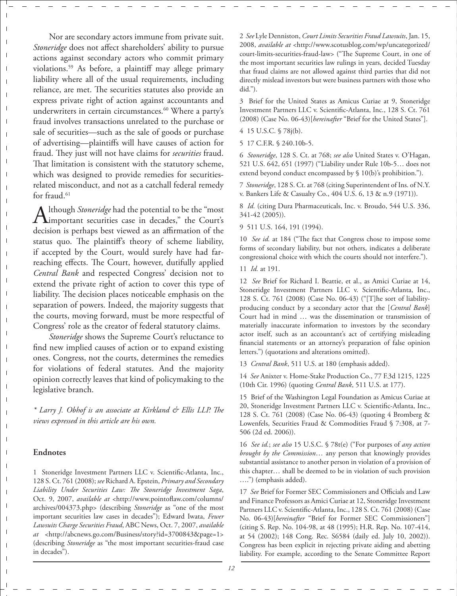Nor are secondary actors immune from private suit. *Stoneridge* does not affect shareholders' ability to pursue actions against secondary actors who commit primary violations.59 As before, a plaintiff may allege primary liability where all of the usual requirements, including reliance, are met. The securities statutes also provide an express private right of action against accountants and underwriters in certain circumstances.<sup>60</sup> Where a party's fraud involves transactions unrelated to the purchase or sale of securities—such as the sale of goods or purchase of advertising-plaintiffs will have causes of action for fraud. They just will not have claims for *securities* fraud. That limitation is consistent with the statutory scheme, which was designed to provide remedies for securitiesrelated misconduct, and not as a catchall federal remedy for fraud.<sup>61</sup>

Although *Stoneridge* had the potential to be the "most<br>limportant securities case in decades," the Court's decision is perhaps best viewed as an affirmation of the status quo. The plaintiff's theory of scheme liability, if accepted by the Court, would surely have had farreaching effects. The Court, however, dutifully applied *Central Bank* and respected Congress' decision not to extend the private right of action to cover this type of liability. The decision places noticeable emphasis on the separation of powers. Indeed, the majority suggests that the courts, moving forward, must be more respectful of Congress' role as the creator of federal statutory claims.

*Stoneridge* shows the Supreme Court's reluctance to find new implied causes of action or to expand existing ones. Congress, not the courts, determines the remedies for violations of federal statutes. And the majority opinion correctly leaves that kind of policymaking to the legislative branch.

\* Larry J. Obhof is an associate at Kirkland & Ellis LLP. The *views expressed in this article are his own.*

#### **Endnotes**

1 Stoneridge Investment Partners LLC v. Scientific-Atlanta, Inc., 128 S. Ct. 761 (2008); *see* Richard A. Epstein, *Primary and Secondary*  Liability Under Securities Law: The Stoneridge Investment Saga, Oct. 9, 2007, *available at* <http://www.pointoflaw.com/columns/ archives/004373.php> (describing *Stoneridge* as "one of the most important securities law cases in decades"); Edward Iwata, *Fewer Lawsuits Charge Securities Fraud*, ABC News, Oct. 7, 2007, *available at* <http://abcnews.go.com/Business/story?id=3700843&page=1> (describing *Stoneridge* as "the most important securities-fraud case in decades").

2 *See* Lyle Denniston, *Court Limits Securities Fraud Lawsuits*, Jan. 15, 2008, *available at* <http://www.scotusblog.com/wp/uncategorized/ court-limits-securities-fraud-law> ("The Supreme Court, in one of the most important securities law rulings in years, decided Tuesday that fraud claims are not allowed against third parties that did not directly mislead investors but were business partners with those who did.").

3 Brief for the United States as Amicus Curiae at 9, Stoneridge Investment Partners LLC v. Scientific-Atlanta, Inc., 128 S. Ct. 761 (2008) (Case No. 06-43)[*hereinafter* "Brief for the United States"].

4 15 U.S.C. § 78j(b).

5 17 C.F.R. § 240.10b-5.

6 *Stoneridge*, 128 S. Ct. at 768; *see also* United States v. O'Hagan, 521 U.S. 642, 651 (1997) ("Liability under Rule 10b-5… does not extend beyond conduct encompassed by § 10(b)'s prohibition.").

7 *Stoneridge*, 128 S. Ct. at 768 (citing Superintendent of Ins. of N.Y. v. Bankers Life & Casualty Co., 404 U.S. 6, 13 & n.9 (1971)).

8 *Id.* (citing Dura Pharmaceuticals, Inc. v. Broudo, 544 U.S. 336, 341-42 (2005)).

9 511 U.S. 164, 191 (1994).

10 *See id.* at 184 ("The fact that Congress chose to impose some forms of secondary liability, but not others, indicates a deliberate congressional choice with which the courts should not interfere.").

11 *Id.* at 191.

12 *See* Brief for Richard I. Beattie, et al., as Amici Curiae at 14, Stoneridge Investment Partners LLC v. Scientific-Atlanta, Inc., 128 S. Ct. 761 (2008) (Case No. 06-43) ("[T]he sort of liabilityproducing conduct by a secondary actor that the [*Central Bank*] Court had in mind … was the dissemination or transmission of materially inaccurate information to investors by the secondary actor itself, such as an accountant's act of certifying misleading financial statements or an attorney's preparation of false opinion letters.") (quotations and alterations omitted).

13 *Central Bank*, 511 U.S. at 180 (emphasis added).

14 *See* Anixter v. Home-Stake Production Co., 77 F.3d 1215, 1225 (10th Cir. 1996) (quoting *Central Bank*, 511 U.S. at 177).

15 Brief of the Washington Legal Foundation as Amicus Curiae at 20, Stoneridge Investment Partners LLC v. Scientific-Atlanta, Inc., 128 S. Ct. 761 (2008) (Case No. 06-43) (quoting 4 Bromberg & Lowenfels, Securities Fraud & Commodities Fraud § 7:308, at 7- 506 (2d ed. 2006)).

16 *See id.*; *see also* 15 U.S.C. § 78t(e) ("For purposes of *any action brought by the Commission*… any person that knowingly provides substantial assistance to another person in violation of a provision of this chapter… shall be deemed to be in violation of such provision ….") (emphasis added).

17 See Brief for Former SEC Commissioners and Officials and Law and Finance Professors as Amici Curiae at 12, Stoneridge Investment Partners LLC v. Scientific-Atlanta, Inc., 128 S. Ct. 761 (2008) (Case No. 06-43)[*hereinafter* "Brief for Former SEC Commissioners"] (citing S. Rep. No. 104-98, at 48 (1995); H.R. Rep. No. 107-414, at 54 (2002); 148 Cong. Rec. S6584 (daily ed. July 10, 2002)). Congress has been explicit in rejecting private aiding and abetting liability. For example, according to the Senate Committee Report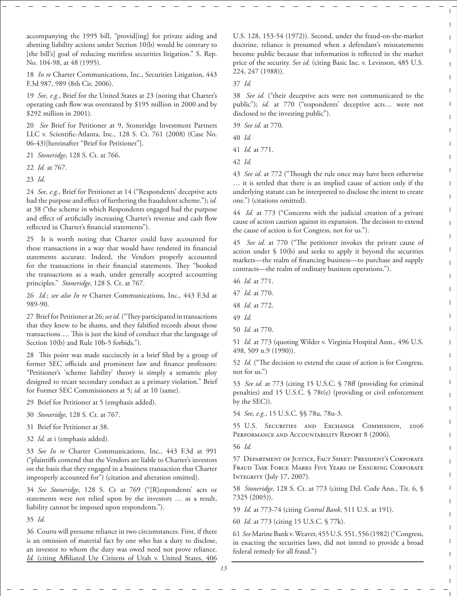accompanying the 1995 bill, "provid[ing] for private aiding and abetting liability actions under Section 10(b) would be contrary to [the bill's] goal of reducing meritless securities litigation." S. Rep. No. 104-98, at 48 (1995).

18 *In re* Charter Communications, Inc., Securities Litigation, 443 F.3d 987, 989 (8th Cir. 2006).

19 *See, e.g.*, Brief for the United States at 23 (noting that Charter's operating cash flow was overstated by \$195 million in 2000 and by \$292 million in 2001).

20 *See* Brief for Petitioner at 9, Stoneridge Investment Partners LLC v. Scientific-Atlanta, Inc., 128 S. Ct. 761 (2008) (Case No. 06-43)[hereinafter "Brief for Petitioner"].

21 *Stoneridge*, 128 S. Ct. at 766.

22 *Id.* at 767.

23 *Id.*

24 *See, e.g.*, Brief for Petitioner at 14 ("Respondents' deceptive acts had the purpose and effect of furthering the fraudulent scheme."); *id.* at 38 ("the scheme in which Respondents engaged had the purpose and effect of artificially increasing Charter's revenue and cash flow reflected in Charter's financial statements").

25 It is worth noting that Charter could have accounted for these transactions in a way that would have rendered its financial statements accurate. Indeed, the Vendors properly accounted for the transactions in their financial statements. They "booked the transactions as a wash, under generally accepted accounting principles." *Stoneridge*, 128 S. Ct. at 767.

26 *Id.*; *see also In re* Charter Communications, Inc., 443 F.3d at 989-90.

27 Brief for Petitioner at 26; see id. ("They participated in transactions that they knew to be shams, and they falsified records about those transactions.... This is just the kind of conduct that the language of Section 10(b) and Rule 10b-5 forbids.").

28 This point was made succinctly in a brief filed by a group of former SEC officials and prominent law and finance professors: "Petitioner's 'scheme liability' theory is simply a semantic ploy designed to recast secondary conduct as a primary violation." Brief for Former SEC Commissioners at 5; *id.* at 10 (same).

29 Brief for Petitioner at 5 (emphasis added).

- 30 *Stoneridge*, 128 S. Ct. at 767.
- 31 Brief for Petitioner at 38.
- 32 *Id.* at i (emphasis added).

33 *See In re* Charter Communications, Inc., 443 F.3d at 991 ("plaintiffs contend that the Vendors are liable to Charter's investors on the basis that they engaged in a business transaction that Charter improperly accounted for") (citation and alteration omitted).

34 *See Stoneridge*, 128 S. Ct at 769 ("[R]espondents' acts or statements were not relied upon by the investors … as a result, liability cannot be imposed upon respondents.").

35 *Id.*

36 Courts will presume reliance in two circumstances. First, if there is an omission of material fact by one who has a duty to disclose, an investor to whom the duty was owed need not prove reliance. Id. (citing Affiliated Ute Citizens of Utah v. United States, 406

U.S. 128, 153-54 (1972)). Second, under the fraud-on-the-market doctrine, reliance is presumed when a defendant's misstatements become public because that information is reflected in the market price of the security. *See id.* (citing Basic Inc. v. Levinson, 485 U.S. 224, 247 (1988)).

37 *Id.* 

38 *See id.* ("their deceptive acts were not communicated to the public"); *id.* at 770 ("respondents' deceptive acts... were not disclosed to the investing public").

39 *See id.* at 770.

40 *Id.* 

41 *Id.* at 771.

42 *Id.*

43 *See id.* at 772 ("Though the rule once may have been otherwise … it is settled that there is an implied cause of action only if the underlying statute can be interpreted to disclose the intent to create one.") (citations omitted).

44 *Id.* at 773 ("Concerns with the judicial creation of a private cause of action caution against its expansion. The decision to extend the cause of action is for Congress, not for us.").

45 See id. at 770 ("The petitioner invokes the private cause of action under § 10(b) and seeks to apply it beyond the securities markets—the realm of financing business—to purchase and supply contracts—the realm of ordinary business operations.").

46 *Id.* at 771.

47 *Id.* at 770.

48 *Id.* at 772.

50 *Id.* at 770.

51 *Id.* at 773 (quoting Wilder v. Virginia Hospital Assn., 496 U.S. 498, 509 n.9 (1990)).

52 Id. ("The decision to extend the cause of action is for Congress, not for us.")

53 *See id.* at 773 (citing 15 U.S.C. § 78ff (providing for criminal penalties) and 15 U.S.C. § 78t(e) (providing or civil enforcement by the SEC)).

54 *See, e.g.*, 15 U.S.C. §§ 78u, 78u-3.

55 U.S. Securities and Exchange Commission, PERFORMANCE AND ACCOUNTABILITY REPORT 8 (2006).

56 *Id.*

57 Department of Justice, Fact Sheet: President's Corporate FRAUD TASK FORCE MARKS FIVE YEARS OF ENSURING CORPORATE Integrity (July 17, 2007).

58 *Stoneridge*, 128 S. Ct. at 773 (citing Del. Code Ann., Tit. 6, § 7325 (2005)).

59 *Id.* at 773-74 (citing *Central Bank*, 511 U.S. at 191).

60 *Id.* at 773 (citing 15 U.S.C. § 77k).

61 *See* Marine Bank v. Weaver, 455 U.S. 551, 556 (1982) ("Congress, in enacting the securities laws, did not intend to provide a broad federal remedy for all fraud.")

<sup>49</sup> *Id.*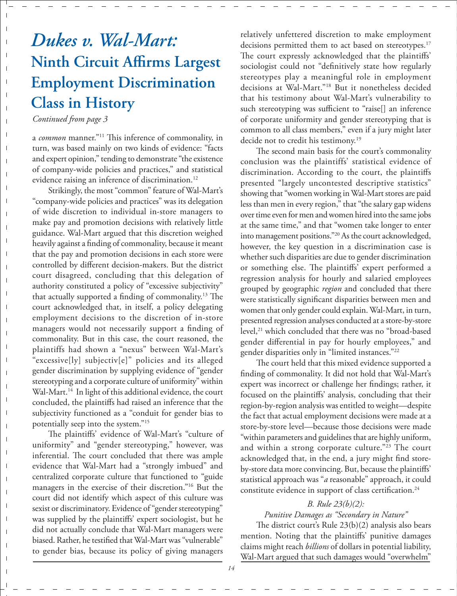# $N$ inth Circuit Affirms Largest **Employment Discrimination Class in History**

#### *Continued from page 3*

a *common* manner."<sup>11</sup> This inference of commonality, in turn, was based mainly on two kinds of evidence: "facts and expert opinion," tending to demonstrate "the existence of company-wide policies and practices," and statistical evidence raising an inference of discrimination.<sup>12</sup>

Strikingly, the most "common" feature of Wal-Mart's "company-wide policies and practices" was its delegation of wide discretion to individual in-store managers to make pay and promotion decisions with relatively little guidance. Wal-Mart argued that this discretion weighed heavily against a finding of commonality, because it meant that the pay and promotion decisions in each store were controlled by different decision-makers. But the district court disagreed, concluding that this delegation of authority constituted a policy of "excessive subjectivity" that actually supported a finding of commonality.<sup>13</sup> The court acknowledged that, in itself, a policy delegating employment decisions to the discretion of in-store managers would not necessarily support a finding of commonality. But in this case, the court reasoned, the plaintiffs had shown a "nexus" between Wal-Mart's "excessive[ly] subjectiv[e]" policies and its alleged gender discrimination by supplying evidence of "gender stereotyping and a corporate culture of uniformity" within Wal-Mart.<sup>14</sup> In light of this additional evidence, the court concluded, the plaintiffs had raised an inference that the subjectivity functioned as a "conduit for gender bias to potentially seep into the system."15

The plaintiffs' evidence of Wal-Mart's "culture of uniformity" and "gender stereotyping," however, was inferential. The court concluded that there was ample evidence that Wal-Mart had a "strongly imbued" and centralized corporate culture that functioned to "guide managers in the exercise of their discretion."16 But the court did not identify which aspect of this culture was sexist or discriminatory. Evidence of "gender stereotyping" was supplied by the plaintiffs' expert sociologist, but he did not actually conclude that Wal-Mart managers were biased. Rather, he testified that Wal-Mart was "vulnerable" to gender bias, because its policy of giving managers

relatively unfettered discretion to make employment decisions permitted them to act based on stereotypes.<sup>17</sup> The court expressly acknowledged that the plaintiffs' sociologist could not "definitively state how regularly stereotypes play a meaningful role in employment decisions at Wal-Mart."18 But it nonetheless decided that his testimony about Wal-Mart's vulnerability to such stereotyping was sufficient to "raise[] an inference of corporate uniformity and gender stereotyping that is common to all class members," even if a jury might later decide not to credit his testimony.<sup>19</sup>

The second main basis for the court's commonality conclusion was the plaintiffs' statistical evidence of discrimination. According to the court, the plaintiffs presented "largely uncontested descriptive statistics" showing that "women working in Wal-Mart stores are paid less than men in every region," that "the salary gap widens over time even for men and women hired into the same jobs at the same time," and that "women take longer to enter into management positions."20 As the court acknowledged, however, the key question in a discrimination case is whether such disparities are due to gender discrimination or something else. The plaintiffs' expert performed a regression analysis for hourly and salaried employees grouped by geographic *region* and concluded that there were statistically significant disparities between men and women that only gender could explain. Wal-Mart, in turn, presented regression analyses conducted at a store-by-store level,<sup>21</sup> which concluded that there was no "broad-based gender differential in pay for hourly employees," and gender disparities only in "limited instances."22

The court held that this mixed evidence supported a finding of commonality. It did not hold that Wal-Mart's expert was incorrect or challenge her findings; rather, it focused on the plaintiffs' analysis, concluding that their region-by-region analysis was entitled to weight—despite the fact that actual employment decisions were made at a store-by-store level—because those decisions were made "within parameters and guidelines that are highly uniform, and within a strong corporate culture."23 The court acknowledged that, in the end, a jury might find storeby-store data more convincing. But, because the plaintiffs' statistical approach was "*a* reasonable" approach, it could constitute evidence in support of class certification.<sup>24</sup>

#### *B. Rule 23(b)(2):*

#### *Punitive Damages as "Secondary in Nature"*

The district court's Rule  $23(b)(2)$  analysis also bears mention. Noting that the plaintiffs' punitive damages claims might reach *billions* of dollars in potential liability, Wal-Mart argued that such damages would "overwhelm"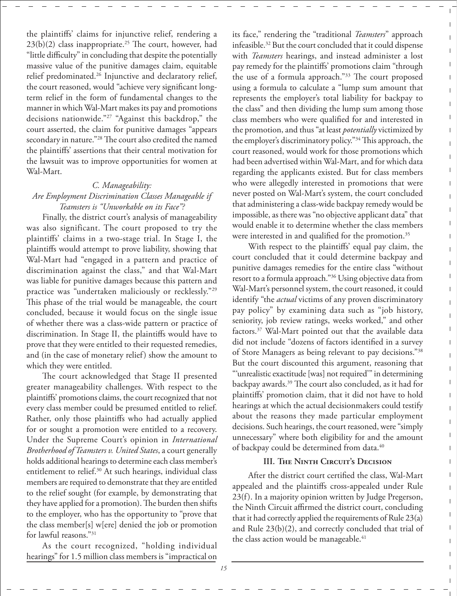the plaintiffs' claims for injunctive relief, rendering a  $23(b)(2)$  class inappropriate.<sup>25</sup> The court, however, had "little difficulty" in concluding that despite the potentially massive value of the punitive damages claim, equitable relief predominated.<sup>26</sup> Injunctive and declaratory relief, the court reasoned, would "achieve very significant longterm relief in the form of fundamental changes to the manner in which Wal-Mart makes its pay and promotions decisions nationwide."27 "Against this backdrop," the court asserted, the claim for punitive damages "appears secondary in nature."<sup>28</sup> The court also credited the named the plaintiffs' assertions that their central motivation for the lawsuit was to improve opportunities for women at Wal-Mart.

#### *C. Manageability: Are Employment Discrimination Classes Manageable if Teamsters is "Unworkable on its Face"?*

Finally, the district court's analysis of manageability was also significant. The court proposed to try the plaintiffs' claims in a two-stage trial. In Stage I, the plaintiffs would attempt to prove liability, showing that Wal-Mart had "engaged in a pattern and practice of discrimination against the class," and that Wal-Mart was liable for punitive damages because this pattern and practice was "undertaken maliciously or recklessly."29 This phase of the trial would be manageable, the court concluded, because it would focus on the single issue of whether there was a class-wide pattern or practice of discrimination. In Stage II, the plaintiffs would have to prove that they were entitled to their requested remedies, and (in the case of monetary relief) show the amount to which they were entitled.

The court acknowledged that Stage II presented greater manageability challenges. With respect to the plaintiffs' promotions claims, the court recognized that not every class member could be presumed entitled to relief. Rather, only those plaintiffs who had actually applied for or sought a promotion were entitled to a recovery. Under the Supreme Court's opinion in *International Brotherhood of Teamsters v. United States*, a court generally holds additional hearings to determine each class member's entitlement to relief.<sup>30</sup> At such hearings, individual class members are required to demonstrate that they are entitled to the relief sought (for example, by demonstrating that they have applied for a promotion). The burden then shifts to the employer, who has the opportunity to "prove that the class member[s] w[ere] denied the job or promotion for lawful reasons."31

As the court recognized, "holding individual hearings" for 1.5 million class members is "impractical on

its face," rendering the "traditional *Teamsters*" approach infeasible.32 But the court concluded that it could dispense with *Teamsters* hearings, and instead administer a lost pay remedy for the plaintiffs' promotions claim "through the use of a formula approach."<sup>33</sup> The court proposed using a formula to calculate a "lump sum amount that represents the employer's total liability for backpay to the class" and then dividing the lump sum among those class members who were qualified for and interested in the promotion, and thus "at least *potentially* victimized by the employer's discriminatory policy."<sup>34</sup> This approach, the court reasoned, would work for those promotions which had been advertised within Wal-Mart, and for which data regarding the applicants existed. But for class members who were allegedly interested in promotions that were never posted on Wal-Mart's system, the court concluded that administering a class-wide backpay remedy would be impossible, as there was "no objective applicant data" that would enable it to determine whether the class members were interested in and qualified for the promotion.<sup>35</sup>

With respect to the plaintiffs' equal pay claim, the court concluded that it could determine backpay and punitive damages remedies for the entire class "without resort to a formula approach."36 Using objective data from Wal-Mart's personnel system, the court reasoned, it could identify "the *actual* victims of any proven discriminatory pay policy" by examining data such as "job history, seniority, job review ratings, weeks worked," and other factors.37 Wal-Mart pointed out that the available data did not include "dozens of factors identified in a survey of Store Managers as being relevant to pay decisions."38 But the court discounted this argument, reasoning that "'unrealistic exactitude [was] not required'" in determining backpay awards.<sup>39</sup> The court also concluded, as it had for plaintiffs' promotion claim, that it did not have to hold hearings at which the actual decisionmakers could testify about the reasons they made particular employment decisions. Such hearings, the court reasoned, were "simply unnecessary" where both eligibility for and the amount of backpay could be determined from data.<sup>40</sup>

#### **III. THE NINTH CIRCUIT'S DECISION**

After the district court certified the class, Wal-Mart appealed and the plaintiffs cross-appealed under Rule 23(f). In a majority opinion written by Judge Pregerson, the Ninth Circuit affirmed the district court, concluding that it had correctly applied the requirements of Rule 23(a) and Rule 23(b)(2), and correctly concluded that trial of the class action would be manageable.<sup>41</sup>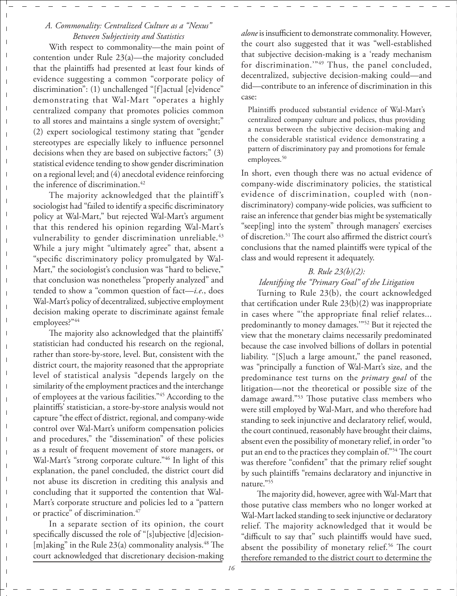#### *A. Commonality: Centralized Culture as a "Nexus" Between Subjectivity and Statistics*

With respect to commonality—the main point of contention under Rule 23(a)—the majority concluded that the plaintiffs had presented at least four kinds of evidence suggesting a common "corporate policy of discrimination": (1) unchallenged "[f]actual [e]vidence" demonstrating that Wal-Mart "operates a highly centralized company that promotes policies common to all stores and maintains a single system of oversight;" (2) expert sociological testimony stating that "gender stereotypes are especially likely to influence personnel decisions when they are based on subjective factors;" (3) statistical evidence tending to show gender discrimination on a regional level; and (4) anecdotal evidence reinforcing the inference of discrimination.<sup>42</sup>

The majority acknowledged that the plaintiff's sociologist had "failed to identify a specific discriminatory policy at Wal-Mart," but rejected Wal-Mart's argument that this rendered his opinion regarding Wal-Mart's vulnerability to gender discrimination unreliable.<sup>43</sup> While a jury might "ultimately agree" that, absent a "specific discriminatory policy promulgated by Wal-Mart," the sociologist's conclusion was "hard to believe," that conclusion was nonetheless "properly analyzed" and tended to show a "common question of fact—*i.e*., does Wal-Mart's policy of decentralized, subjective employment decision making operate to discriminate against female employees?"44

The majority also acknowledged that the plaintiffs' statistician had conducted his research on the regional, rather than store-by-store, level. But, consistent with the district court, the majority reasoned that the appropriate level of statistical analysis "depends largely on the similarity of the employment practices and the interchange of employees at the various facilities."45 According to the plaintiffs' statistician, a store-by-store analysis would not capture "the effect of district, regional, and company-wide control over Wal-Mart's uniform compensation policies and procedures," the "dissemination" of these policies as a result of frequent movement of store managers, or Wal-Mart's "strong corporate culture."<sup>46</sup> In light of this explanation, the panel concluded, the district court did not abuse its discretion in crediting this analysis and concluding that it supported the contention that Wal-Mart's corporate structure and policies led to a "pattern or practice" of discrimination.<sup>47</sup>

In a separate section of its opinion, the court specifically discussed the role of "[s]ubjective [d]ecision- $[m]$ aking" in the Rule 23(a) commonality analysis.<sup>48</sup> The court acknowledged that discretionary decision-making

*alone* is insufficient to demonstrate commonality. However, the court also suggested that it was "well-established that subjective decision-making is a 'ready mechanism for discrimination.'"49 Thus, the panel concluded, decentralized, subjective decision-making could—and did—contribute to an inference of discrimination in this case:

Plaintiffs produced substantial evidence of Wal-Mart's centralized company culture and polices, thus providing a nexus between the subjective decision-making and the considerable statistical evidence demonstrating a pattern of discriminatory pay and promotions for female employees.<sup>50</sup>

In short, even though there was no actual evidence of company-wide discriminatory policies, the statistical evidence of discrimination, coupled with (nondiscriminatory) company-wide policies, was sufficient to raise an inference that gender bias might be systematically "seep[ing] into the system" through managers' exercises of discretion.<sup>51</sup> The court also affirmed the district court's conclusions that the named plaintiffs were typical of the class and would represent it adequately.

#### *B. Rule 23(b)(2):*

#### *Identifying the "Primary Goal" of the Litigation*

Turning to Rule 23(b), the court acknowledged that certification under Rule  $23(b)(2)$  was inappropriate in cases where "the appropriate final relief relates... predominantly to money damages.'"52 But it rejected the view that the monetary claims necessarily predominated because the case involved billions of dollars in potential liability. "[S]uch a large amount," the panel reasoned, was "principally a function of Wal-Mart's size, and the predominance test turns on the *primary goal* of the litigation—not the theoretical or possible size of the damage award."<sup>53</sup> Those putative class members who were still employed by Wal-Mart, and who therefore had standing to seek injunctive and declaratory relief, would, the court continued, reasonably have brought their claims, absent even the possibility of monetary relief, in order "to put an end to the practices they complain of."<sup>54</sup> The court was therefore "confident" that the primary relief sought by such plaintiffs "remains declaratory and injunctive in nature."55

The majority did, however, agree with Wal-Mart that those putative class members who no longer worked at Wal-Mart lacked standing to seek injunctive or declaratory relief. The majority acknowledged that it would be "difficult to say that" such plaintiffs would have sued, absent the possibility of monetary relief.<sup>56</sup> The court therefore remanded to the district court to determine the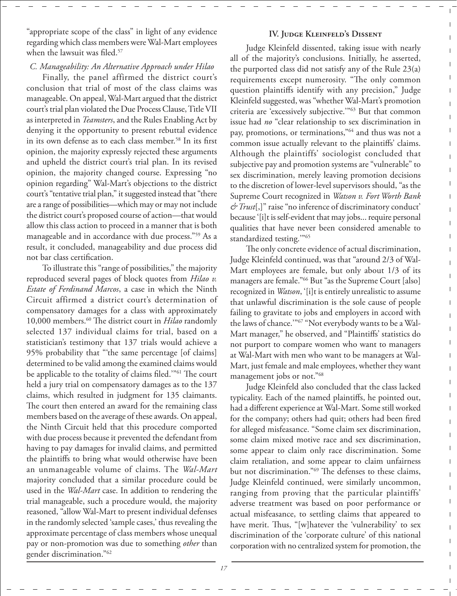"appropriate scope of the class" in light of any evidence regarding which class members were Wal-Mart employees when the lawsuit was filed.<sup>57</sup>

#### *C. Manageability: An Alternative Approach under Hilao*

Finally, the panel affirmed the district court's conclusion that trial of most of the class claims was manageable. On appeal, Wal-Mart argued that the district court's trial plan violated the Due Process Clause, Title VII as interpreted in *Teamsters*, and the Rules Enabling Act by denying it the opportunity to present rebuttal evidence in its own defense as to each class member.<sup>58</sup> In its first opinion, the majority expressly rejected these arguments and upheld the district court's trial plan. In its revised opinion, the majority changed course. Expressing "no opinion regarding" Wal-Mart's objections to the district court's "tentative trial plan," it suggested instead that "there are a range of possibilities—which may or may not include the district court's proposed course of action—that would allow this class action to proceed in a manner that is both manageable and in accordance with due process."59 As a result, it concluded, manageability and due process did not bar class certification.

To illustrate this "range of possibilities," the majority reproduced several pages of block quotes from *Hilao v. Estate of Ferdinand Marcos*, a case in which the Ninth Circuit affirmed a district court's determination of compensatory damages for a class with approximately 10,000 members.<sup>60</sup> The district court in *Hilao* randomly selected 137 individual claims for trial, based on a statistician's testimony that 137 trials would achieve a 95% probability that "'the same percentage [of claims] determined to be valid among the examined claims would be applicable to the totality of claims filed."<sup>61</sup> The court held a jury trial on compensatory damages as to the 137 claims, which resulted in judgment for 135 claimants. The court then entered an award for the remaining class members based on the average of these awards. On appeal, the Ninth Circuit held that this procedure comported with due process because it prevented the defendant from having to pay damages for invalid claims, and permitted the plaintiffs to bring what would otherwise have been an unmanageable volume of claims. The *Wal-Mart* majority concluded that a similar procedure could be used in the *Wal-Mart* case. In addition to rendering the trial manageable, such a procedure would, the majority reasoned, "allow Wal-Mart to present individual defenses in the randomly selected 'sample cases,' thus revealing the approximate percentage of class members whose unequal pay or non-promotion was due to something *other* than gender discrimination."<sup>62</sup>

#### **IV. Judge Kleinfeld's Dissent**

Judge Kleinfeld dissented, taking issue with nearly all of the majority's conclusions. Initially, he asserted, the purported class did not satisfy any of the Rule 23(a) requirements except numerosity. "The only common question plaintiffs identify with any precision," Judge Kleinfeld suggested, was "whether Wal-Mart's promotion criteria are 'excessively subjective.'"63 But that common issue had *no* "clear relationship to sex discrimination in pay, promotions, or terminations,"<sup>64</sup> and thus was not a common issue actually relevant to the plaintiffs' claims. Although the plaintiffs' sociologist concluded that subjective pay and promotion systems are "vulnerable" to sex discrimination, merely leaving promotion decisions to the discretion of lower-level supervisors should, "as the Supreme Court recognized in *Watson v. Fort Worth Bank & Trust*[,]" raise "no inference of discriminatory conduct' because '[i]t is self-evident that may jobs... require personal qualities that have never been considered amenable to standardized testing."<sup>65</sup>

The only concrete evidence of actual discrimination, Judge Kleinfeld continued, was that "around 2/3 of Wal-Mart employees are female, but only about 1/3 of its managers are female."66 But "as the Supreme Court [also] recognized in *Watson*, '[i]t is entirely unrealistic to assume that unlawful discrimination is the sole cause of people failing to gravitate to jobs and employers in accord with the laws of chance.'"67 "Not everybody wants to be a Wal-Mart manager," he observed, and "Plaintiffs' statistics do not purport to compare women who want to managers at Wal-Mart with men who want to be managers at Wal-Mart, just female and male employees, whether they want management jobs or not."68

Judge Kleinfeld also concluded that the class lacked typicality. Each of the named plaintiffs, he pointed out, had a different experience at Wal-Mart. Some still worked for the company; others had quit; others had been fired for alleged misfeasance. "Some claim sex discrimination, some claim mixed motive race and sex discrimination, some appear to claim only race discrimination. Some claim retaliation, and some appear to claim unfairness but not discrimination."<sup>69</sup> The defenses to these claims, Judge Kleinfeld continued, were similarly uncommon, ranging from proving that the particular plaintiffs' adverse treatment was based on poor performance or actual misfeasance, to settling claims that appeared to have merit. Thus, "[w]hatever the 'vulnerability' to sex discrimination of the 'corporate culture' of this national corporation with no centralized system for promotion, the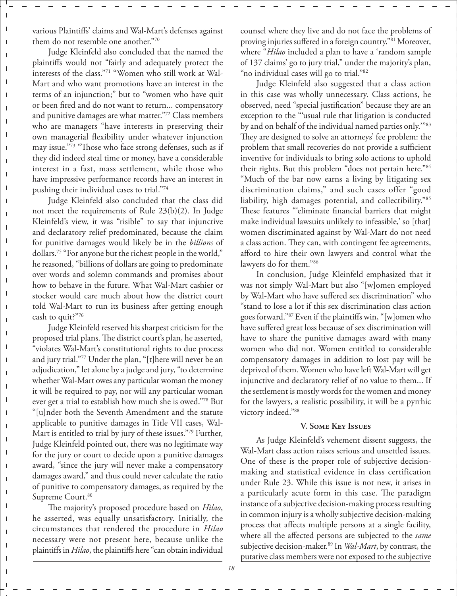various Plaintiffs' claims and Wal-Mart's defenses against them do not resemble one another."70

Judge Kleinfeld also concluded that the named the plaintiffs would not "fairly and adequately protect the interests of the class."71 "Women who still work at Wal-Mart and who want promotions have an interest in the terms of an injunction;" but to "women who have quit or been fired and do not want to return... compensatory and punitive damages are what matter."72 Class members who are managers "have interests in preserving their own managerial flexibility under whatever injunction may issue."73 "Those who face strong defenses, such as if they did indeed steal time or money, have a considerable interest in a fast, mass settlement, while those who have impressive performance records have an interest in pushing their individual cases to trial."74

Judge Kleinfeld also concluded that the class did not meet the requirements of Rule 23(b)(2). In Judge Kleinfeld's view, it was "risible" to say that injunctive and declaratory relief predominated, because the claim for punitive damages would likely be in the *billions* of dollars.75 "For anyone but the richest people in the world," he reasoned, "billions of dollars are going to predominate over words and solemn commands and promises about how to behave in the future. What Wal-Mart cashier or stocker would care much about how the district court told Wal-Mart to run its business after getting enough cash to quit?"76

Judge Kleinfeld reserved his sharpest criticism for the proposed trial plans. The district court's plan, he asserted, "violates Wal-Mart's constitutional rights to due process and jury trial."77 Under the plan, "[t]here will never be an adjudication," let alone by a judge and jury, "to determine whether Wal-Mart owes any particular woman the money it will be required to pay, nor will any particular woman ever get a trial to establish how much she is owed."78 But "[u]nder both the Seventh Amendment and the statute applicable to punitive damages in Title VII cases, Wal-Mart is entitled to trial by jury of these issues."79 Further, Judge Kleinfeld pointed out, there was no legitimate way for the jury or court to decide upon a punitive damages award, "since the jury will never make a compensatory damages award," and thus could never calculate the ratio of punitive to compensatory damages, as required by the Supreme Court.<sup>80</sup>

The majority's proposed procedure based on *Hilao*, he asserted, was equally unsatisfactory. Initially, the circumstances that rendered the procedure in *Hilao* necessary were not present here, because unlike the plaintiffs in *Hilao*, the plaintiffs here "can obtain individual

counsel where they live and do not face the problems of proving injuries suffered in a foreign country."<sup>81</sup> Moreover, where "*Hilao* included a plan to have a 'random sample of 137 claims' go to jury trial," under the majority's plan, "no individual cases will go to trial."82

Judge Kleinfeld also suggested that a class action in this case was wholly unnecessary. Class actions, he observed, need "special justification" because they are an exception to the "'usual rule that litigation is conducted by and on behalf of the individual named parties only.'"83 They are designed to solve an attorneys' fee problem: the problem that small recoveries do not provide a sufficient inventive for individuals to bring solo actions to uphold their rights. But this problem "does not pertain here."84 "Much of the bar now earns a living by litigating sex discrimination claims," and such cases offer "good liability, high damages potential, and collectibility."85 These features "'eliminate financial barriers that might make individual lawsuits unlikely to infeasible,' so [that] women discriminated against by Wal-Mart do not need a class action. They can, with contingent fee agreements, afford to hire their own lawyers and control what the lawyers do for them."86

In conclusion, Judge Kleinfeld emphasized that it was not simply Wal-Mart but also "[w]omen employed by Wal-Mart who have suffered sex discrimination" who "stand to lose a lot if this sex discrimination class action goes forward."87 Even if the plaintiffs win, "[w]omen who have suffered great loss because of sex discrimination will have to share the punitive damages award with many women who did not. Women entitled to considerable compensatory damages in addition to lost pay will be deprived of them. Women who have left Wal-Mart will get injunctive and declaratory relief of no value to them... If the settlement is mostly words for the women and money for the lawyers, a realistic possibility, it will be a pyrrhic victory indeed."88

#### **V. Some Key Issues**

As Judge Kleinfeld's vehement dissent suggests, the Wal-Mart class action raises serious and unsettled issues. One of these is the proper role of subjective decisionmaking and statistical evidence in class certification under Rule 23. While this issue is not new, it arises in a particularly acute form in this case. The paradigm instance of a subjective decision-making process resulting in common injury is a wholly subjective decision-making process that affects multiple persons at a single facility, where all the affected persons are subjected to the *same* subjective decision-maker.89 In *Wal-Mart*, by contrast, the putative class members were not exposed to the subjective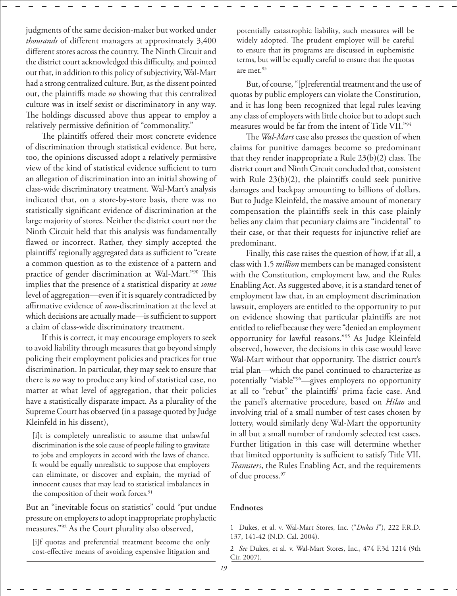judgments of the same decision-maker but worked under *thousands* of different managers at approximately 3,400 different stores across the country. The Ninth Circuit and the district court acknowledged this difficulty, and pointed out that, in addition to this policy of subjectivity, Wal-Mart had a strong centralized culture. But, as the dissent pointed out, the plaintiffs made *no* showing that this centralized culture was in itself sexist or discriminatory in any way. The holdings discussed above thus appear to employ a relatively permissive definition of "commonality."

The plaintiffs offered their most concrete evidence of discrimination through statistical evidence. But here, too, the opinions discussed adopt a relatively permissive view of the kind of statistical evidence sufficient to turn an allegation of discrimination into an initial showing of class-wide discriminatory treatment. Wal-Mart's analysis indicated that, on a store-by-store basis, there was no statistically significant evidence of discrimination at the large majority of stores. Neither the district court nor the Ninth Circuit held that this analysis was fundamentally flawed or incorrect. Rather, they simply accepted the plaintiffs' regionally aggregated data as sufficient to "create a common question as to the existence of a pattern and practice of gender discrimination at Wal-Mart."90 This implies that the presence of a statistical disparity at *some* level of aggregation—even if it is squarely contradicted by affirmative evidence of *non*-discrimination at the level at which decisions are actually made—is sufficient to support a claim of class-wide discriminatory treatment.

If this is correct, it may encourage employers to seek to avoid liability through measures that go beyond simply policing their employment policies and practices for true discrimination. In particular, they may seek to ensure that there is *no* way to produce any kind of statistical case, no matter at what level of aggregation, that their policies have a statistically disparate impact. As a plurality of the Supreme Court has observed (in a passage quoted by Judge Kleinfeld in his dissent),

[i]t is completely unrealistic to assume that unlawful discrimination is the sole cause of people failing to gravitate to jobs and employers in accord with the laws of chance. It would be equally unrealistic to suppose that employers can eliminate, or discover and explain, the myriad of innocent causes that may lead to statistical imbalances in the composition of their work forces.<sup>91</sup>

But an "inevitable focus on statistics" could "put undue pressure on employers to adopt inappropriate prophylactic measures."<sup>92</sup> As the Court plurality also observed,

[i]f quotas and preferential treatment become the only cost-effective means of avoiding expensive litigation and

potentially catastrophic liability, such measures will be widely adopted. The prudent employer will be careful to ensure that its programs are discussed in euphemistic terms, but will be equally careful to ensure that the quotas are met.93

But, of course, "[p]referential treatment and the use of quotas by public employers can violate the Constitution, and it has long been recognized that legal rules leaving any class of employers with little choice but to adopt such measures would be far from the intent of Title VII."94

The *Wal-Mart* case also presses the question of when claims for punitive damages become so predominant that they render inappropriate a Rule  $23(b)(2)$  class. The district court and Ninth Circuit concluded that, consistent with Rule  $23(b)(2)$ , the plaintiffs could seek punitive damages and backpay amounting to billions of dollars. But to Judge Kleinfeld, the massive amount of monetary compensation the plaintiffs seek in this case plainly belies any claim that pecuniary claims are "incidental" to their case, or that their requests for injunctive relief are predominant.

Finally, this case raises the question of how, if at all, a class with 1.5 *million* members can be managed consistent with the Constitution, employment law, and the Rules Enabling Act. As suggested above, it is a standard tenet of employment law that, in an employment discrimination lawsuit, employers are entitled to the opportunity to put on evidence showing that particular plaintiffs are not entitled to relief because they were "denied an employment opportunity for lawful reasons."95 As Judge Kleinfeld observed, however, the decisions in this case would leave Wal-Mart without that opportunity. The district court's trial plan—which the panel continued to characterize as potentially "viable"96—gives employers no opportunity at all to "rebut" the plaintiffs' prima facie case. And the panel's alternative procedure, based on *Hilao* and involving trial of a small number of test cases chosen by lottery, would similarly deny Wal-Mart the opportunity in all but a small number of randomly selected test cases. Further litigation in this case will determine whether that limited opportunity is sufficient to satisfy Title VII, *Teamsters*, the Rules Enabling Act, and the requirements of due process.97

#### **Endnotes**

<sup>1</sup> Dukes, et al. v. Wal-Mart Stores, Inc. ("*Dukes I*"), 222 F.R.D. 137, 141-42 (N.D. Cal. 2004).

<sup>2</sup> *See* Dukes, et al. v. Wal-Mart Stores, Inc., 474 F.3d 1214 (9th Cir. 2007).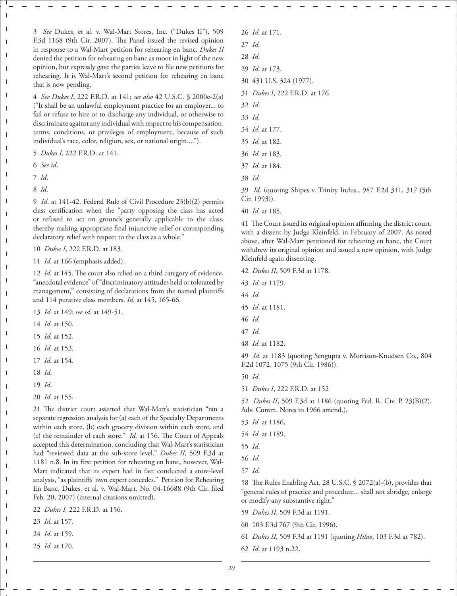3 *See* Dukes, et al. v. Wal-Mart Stores, Inc. ("Dukes II"), 509 F.3d 1168 (9th Cir. 2007). The Panel issued the revised opinion in response to a Wal-Mart petition for rehearing en banc. *Dukes II*  denied the petition for rehearing en banc as moot in light of the new opinion, but expressly gave the parties leave to file new petitions for rehearing. It is Wal-Mart's second petition for rehearing en banc that is now pending.

4 *See Dukes I*, 222 F.R.D. at 141; *see also* 42 U.S.C. § 2000e-2(a) ("It shall be an unlawful employment practice for an employer... to fail or refuse to hire or to discharge any individual, or otherwise to discriminate against any individual with respect to his compensation, terms, conditions, or privileges of employment, because of such individual's race, color, religion, sex, or national origin....").

5 *Dukes I*, 222 F.R.D. at 141.

- 6 *See id*.
- 7 *Id*.
- 8 *Id*.

9 *Id*. at 141-42. Federal Rule of Civil Procedure 23(b)(2) permits class certification when the "party opposing the class has acted or refused to act on grounds generally applicable to the class, thereby making appropriate final injunctive relief or corresponding declaratory relief with respect to the class as a whole."

10 *Dukes I*, 222 F.R.D. at 183.

11 *Id*. at 166 (emphasis added).

12 *Id.* at 145. The court also relied on a third category of evidence, "anecdotal evidence" of "discriminatory attitudes held or tolerated by management," consisting of declarations from the named plaintiffs and 114 putative class members. *Id*. at 145, 165-66.

13 *Id*. at 149; *see id*. at 149-51.

- 14 *Id*. at 150.
- 15 *Id*. at 152.
- 16 *Id*. at 153.
- 17 *Id*. at 154.
- 18 *Id*.
- 19 *Id*.
- 20 *Id*. at 155.

21 The district court asserted that Wal-Mart's statistician "ran a separate regression analysis for (a) each of the Specialty Departments within each store, (b) each grocery division within each store, and (c) the remainder of each store." *Id.* at 156. The Court of Appeals accepted this determination, concluding that Wal-Mart's statistician had "reviewed data at the sub-store level." *Dukes II*, 509 F.3d at 1181 n.8. In its first petition for rehearing en banc, however, Wal-Mart indicated that its expert had in fact conducted a store-level analysis, "as plaintiffs' own expert concedes." Petition for Rehearing En Banc, Dukes, et al. v. Wal-Mart, No. 04-16688 (9th Cir. filed Feb. 20, 2007) (internal citations omitted).

- 22 *Dukes I,* 222 F.R.D. at 156.
- 23 *Id*. at 157.
- 24 *Id*. at 159.
- 25 *Id*. at 170.
- 26 *Id*. at 171. 27 *Id*. 28 *Id*. 29 *Id*. at 173. 30 431 U.S. 324 (1977). 31 *Dukes I*, 222 F.R.D. at 176. 32 *Id*.
- 33 *Id*.
- 34 *Id*. at 177.
- 35 *Id*. at 182.
- 36 *Id*. at 183.
- 37 *Id*. at 184.
- 38 *Id*.

39 *Id*. (quoting Shipes v. Trinity Indus., 987 F.2d 311, 317 (5th Cir. 1993)).

40 *Id*. at 185.

41 The Court issued its original opinion affirming the district court, with a dissent by Judge Kleinfeld, in February of 2007. As noted above, after Wal-Mart petitioned for rehearing en banc, the Court withdrew its original opinion and issued a new opinion, with Judge Kleinfeld again dissenting.

- 42 *Dukes II*, 509 F.3d at 1178.
- 43 *Id*. at 1179.
- 44 *Id*.
- 45 *Id*. at 1181.
- 46 *Id*.
- 47 *Id*.
- 48 *Id*. at 1182.

49 *Id*. at 1183 (quoting Sengupta v. Morrison-Knudsen Co., 804 F.2d 1072, 1075 (9th Cir. 1986)).

- 50 *Id*.
- 51 *Dukes I*, 222 F.R.D. at 152

52 *Dukes II*, 509 F.3d at 1186 (quoting Fed. R. Civ. P. 23(B)(2), Adv. Comm. Notes to 1966 amend.).

- 53 *Id*. at 1186.
- 54 *Id*. at 1189.
- 55 *Id*.
- 56 *Id*.
- 57 *Id*.

58 The Rules Enabling Act, 28 U.S.C. § 2072(a)-(b), provides that "general rules of practice and procedure... shall not abridge, enlarge or modify any substantive right."

- 59 *Dukes II*, 509 F.3d at 1191.
- 60 103 F.3d 767 (9th Cir. 1996).
- 61 *Dukes II,* 509 F.3d at 1191 (quoting *Hilao*, 103 F.3d at 782).
- 62 *Id*. at 1193 n.22.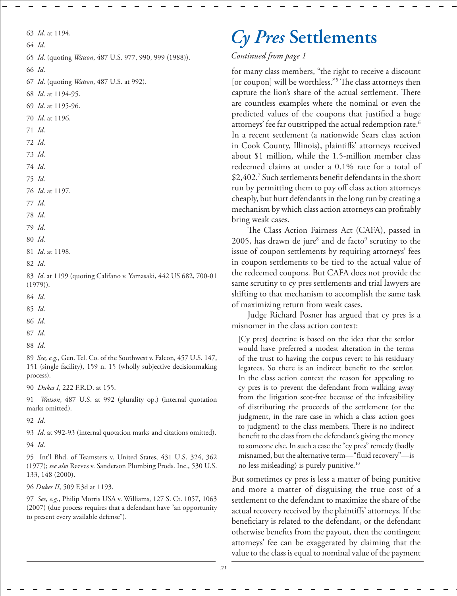63 *Id*. at 1194. 64 *Id*. 65 *Id*. (quoting *Watson*, 487 U.S. 977, 990, 999 (1988)). 66 *Id*. 67 *Id*. (quoting *Watson*, 487 U.S. at 992). 68 *Id*. at 1194-95. 69 *Id*. at 1195-96. 70 *Id*. at 1196. 71 *Id*. 72 *Id*. 73 *Id*. 74 *Id*. 75 *Id*. 76 *Id*. at 1197. 77 *Id*. 78 *Id*. 79 *Id*. 80 *Id*. 81 *Id*. at 1198. 82 *Id*. 83 *Id*. at 1199 (quoting Califano v. Yamasaki, 442 US 682, 700-01 (1979)). 84 *Id*. 85 *Id*. 86 *Id*. 87 *Id*.

88 *Id*.

89 *See, e.g.*, Gen. Tel. Co. of the Southwest v. Falcon, 457 U.S. 147, 151 (single facility), 159 n. 15 (wholly subjective decisionmaking process).

90 *Dukes I*, 222 F.R.D. at 155.

91 *Watson*, 487 U.S. at 992 (plurality op.) (internal quotation marks omitted).

92 *Id*.

93 *Id*. at 992-93 (internal quotation marks and citations omitted).

94 *Id*.

95 Int'l Bhd. of Teamsters v. United States, 431 U.S. 324, 362 (1977); *see also* Reeves v. Sanderson Plumbing Prods. Inc., 530 U.S. 133, 148 (2000).

96 *Dukes II*, 509 F.3d at 1193.

97 *See, e.g*., Philip Morris USA v. Williams, 127 S. Ct. 1057, 1063 (2007) (due process requires that a defendant have "an opportunity to present every available defense").

## *Cy Pres* **Settlements**

#### *Continued from page 1*

for many class members, "the right to receive a discount [or coupon] will be worthless."<sup>5</sup> The class attorneys then capture the lion's share of the actual settlement. There are countless examples where the nominal or even the predicted values of the coupons that justified a huge attorneys' fee far outstripped the actual redemption rate.6 In a recent settlement (a nationwide Sears class action in Cook County, Illinois), plaintiffs' attorneys received about \$1 million, while the 1.5-million member class redeemed claims at under a 0.1% rate for a total of \$2,402.<sup>7</sup> Such settlements benefit defendants in the short run by permitting them to pay off class action attorneys cheaply, but hurt defendants in the long run by creating a mechanism by which class action attorneys can profitably bring weak cases.

The Class Action Fairness Act (CAFA), passed in  $2005$ , has drawn de jure<sup>8</sup> and de facto<sup>9</sup> scrutiny to the issue of coupon settlements by requiring attorneys' fees in coupon settlements to be tied to the actual value of the redeemed coupons. But CAFA does not provide the same scrutiny to cy pres settlements and trial lawyers are shifting to that mechanism to accomplish the same task of maximizing return from weak cases.

Judge Richard Posner has argued that cy pres is a misnomer in the class action context:

[Cy pres] doctrine is based on the idea that the settlor would have preferred a modest alteration in the terms of the trust to having the corpus revert to his residuary legatees. So there is an indirect benefit to the settlor. In the class action context the reason for appealing to cy pres is to prevent the defendant from walking away from the litigation scot-free because of the infeasibility of distributing the proceeds of the settlement (or the judgment, in the rare case in which a class action goes to judgment) to the class members. There is no indirect benefit to the class from the defendant's giving the money to someone else. In such a case the "cy pres" remedy (badly misnamed, but the alternative term—"fluid recovery"—is no less misleading) is purely punitive.10

But sometimes cy pres is less a matter of being punitive and more a matter of disguising the true cost of a settlement to the defendant to maximize the share of the actual recovery received by the plaintiffs' attorneys. If the beneficiary is related to the defendant, or the defendant otherwise benefits from the payout, then the contingent attorneys' fee can be exaggerated by claiming that the value to the class is equal to nominal value of the payment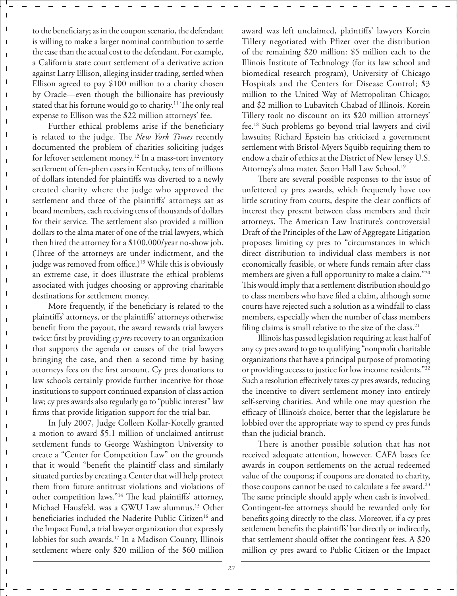to the beneficiary; as in the coupon scenario, the defendant is willing to make a larger nominal contribution to settle the case than the actual cost to the defendant. For example, a California state court settlement of a derivative action against Larry Ellison, alleging insider trading, settled when Ellison agreed to pay \$100 million to a charity chosen by Oracle—even though the billionaire has previously stated that his fortune would go to charity.<sup>11</sup> The only real expense to Ellison was the \$22 million attorneys' fee.

Further ethical problems arise if the beneficiary is related to the judge. The *New York Times* recently documented the problem of charities soliciting judges for leftover settlement money.12 In a mass-tort inventory settlement of fen-phen cases in Kentucky, tens of millions of dollars intended for plaintiffs was diverted to a newly created charity where the judge who approved the settlement and three of the plaintiffs' attorneys sat as board members, each receiving tens of thousands of dollars for their service. The settlement also provided a million dollars to the alma mater of one of the trial lawyers, which then hired the attorney for a \$100,000/year no-show job. (Three of the attorneys are under indictment, and the judge was removed from office.)<sup>13</sup> While this is obviously an extreme case, it does illustrate the ethical problems associated with judges choosing or approving charitable destinations for settlement money.

More frequently, if the beneficiary is related to the plaintiffs' attorneys, or the plaintiffs' attorneys otherwise benefit from the payout, the award rewards trial lawyers twice: first by providing *cy pres* recovery to an organization that supports the agenda or causes of the trial lawyers bringing the case, and then a second time by basing attorneys fees on the first amount. Cy pres donations to law schools certainly provide further incentive for those institutions to support continued expansion of class action law; cy pres awards also regularly go to "public interest" law firms that provide litigation support for the trial bar.

In July 2007, Judge Colleen Kollar-Kotelly granted a motion to award \$5.1 million of unclaimed antitrust settlement funds to George Washington University to create a "Center for Competition Law" on the grounds that it would "benefit the plaintiff class and similarly situated parties by creating a Center that will help protect them from future antitrust violations and violations of other competition laws."<sup>14</sup> The lead plaintiffs' attorney, Michael Hausfeld, was a GWU Law alumnus.15 Other beneficiaries included the Naderite Public Citizen<sup>16</sup> and the Impact Fund, a trial lawyer organization that expressly lobbies for such awards.17 In a Madison County, Illinois settlement where only \$20 million of the \$60 million

award was left unclaimed, plaintiffs' lawyers Korein Tillery negotiated with Pfizer over the distribution of the remaining \$20 million: \$5 million each to the Illinois Institute of Technology (for its law school and biomedical research program), University of Chicago Hospitals and the Centers for Disease Control; \$3 million to the United Way of Metropolitan Chicago; and \$2 million to Lubavitch Chabad of Illinois. Korein Tillery took no discount on its \$20 million attorneys' fee.18 Such problems go beyond trial lawyers and civil lawsuits; Richard Epstein has criticized a government settlement with Bristol-Myers Squibb requiring them to endow a chair of ethics at the District of New Jersey U.S. Attorney's alma mater, Seton Hall Law School.<sup>19</sup>

There are several possible responses to the issue of unfettered cy pres awards, which frequently have too little scrutiny from courts, despite the clear conflicts of interest they present between class members and their attorneys. The American Law Institute's controversial Draft of the Principles of the Law of Aggregate Litigation proposes limiting cy pres to "circumstances in which direct distribution to individual class members is not economically feasible, or where funds remain after class members are given a full opportunity to make a claim."20 This would imply that a settlement distribution should go to class members who have filed a claim, although some courts have rejected such a solution as a windfall to class members, especially when the number of class members filing claims is small relative to the size of the class. $21$ 

Illinois has passed legislation requiring at least half of any cy pres award to go to qualifying "nonprofit charitable organizations that have a principal purpose of promoting or providing access to justice for low income residents."22 Such a resolution effectively taxes cy pres awards, reducing the incentive to divert settlement money into entirely self-serving charities. And while one may question the efficacy of Illinois's choice, better that the legislature be lobbied over the appropriate way to spend cy pres funds than the judicial branch.

There is another possible solution that has not received adequate attention, however. CAFA bases fee awards in coupon settlements on the actual redeemed value of the coupons; if coupons are donated to charity, those coupons cannot be used to calculate a fee award.<sup>23</sup> The same principle should apply when cash is involved. Contingent-fee attorneys should be rewarded only for benefits going directly to the class. Moreover, if a cy pres settlement benefits the plaintiffs' bar directly or indirectly, that settlement should offset the contingent fees. A \$20 million cy pres award to Public Citizen or the Impact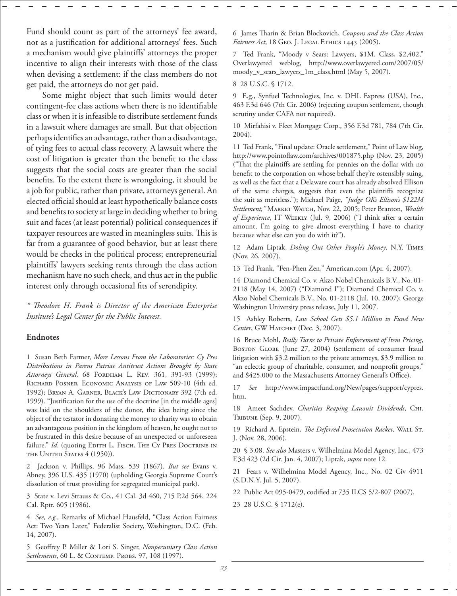Fund should count as part of the attorneys' fee award, not as a justification for additional attorneys' fees. Such a mechanism would give plaintiffs' attorneys the proper incentive to align their interests with those of the class when devising a settlement: if the class members do not get paid, the attorneys do not get paid.

Some might object that such limits would deter contingent-fee class actions when there is no identifiable class or when it is infeasible to distribute settlement funds in a lawsuit where damages are small. But that objection perhaps identifies an advantage, rather than a disadvantage, of tying fees to actual class recovery. A lawsuit where the cost of litigation is greater than the benefit to the class suggests that the social costs are greater than the social benefits. To the extent there is wrongdoing, it should be a job for public, rather than private, attorneys general. An elected official should at least hypothetically balance costs and benefits to society at large in deciding whether to bring suit and faces (at least potential) political consequences if taxpayer resources are wasted in meaningless suits. This is far from a guarantee of good behavior, but at least there would be checks in the political process; entrepreneurial plaintiffs' lawyers seeking rents through the class action mechanism have no such check, and thus act in the public interest only through occasional fits of serendipity.

*\* Th eodore H. Frank is Director of the American Enterprise Institute's Legal Center for the Public Interest.*

#### **Endnotes**

1 Susan Beth Farmer, *More Lessons From the Laboratories: Cy Pres Distributions in Parens Patriae Antitrust Actions Brought by State*  Attorneys General, 68 FORDHAM L. REV. 361, 391-93 (1999); Richard Posner, Economic Analysis of Law 509-10 (4th ed. 1992); Bryan A. Garner, Black's Law Dictionary 392 (7th ed. 1999). "Justification for the use of the doctrine [in the middle ages] was laid on the shoulders of the donor, the idea being since the object of the testator in donating the money to charity was to obtain an advantageous position in the kingdom of heaven, he ought not to be frustrated in this desire because of an unexpected or unforeseen failure." *Id.* (quoting EDITH L. FISCH, THE CY PRES DOCTRINE IN THE UNITED STATES  $4(1950)$ .

2 Jackson v. Phillips, 96 Mass. 539 (1867). *But see* Evans v. Abney, 396 U.S. 435 (1970) (upholding Georgia Supreme Court's dissolution of trust providing for segregated municipal park).

3 State v. Levi Strauss & Co., 41 Cal. 3d 460, 715 P.2d 564, 224 Cal. Rptr. 605 (1986).

4 *See, e.g.,* Remarks of Michael Hausfeld, "Class Action Fairness Act: Two Years Later," Federalist Society, Washington, D.C. (Feb. 14, 2007).

5 Geoffrey P. Miller & Lori S. Singer, *Nonpecuniary Class Action* Settlements, 60 L. & CONTEMP. PROBS. 97, 108 (1997).

6 James Th arin & Brian Blockovich, *Coupons and the Class Action Fairness Act*, 18 GEO. J. LEGAL ETHICS 1443 (2005).

7 Ted Frank, "Moody v Sears: Lawyers, \$1M. Class, \$2,402," Overlawyered weblog, http://www.overlawyered.com/2007/05/ moody\_v\_sears\_lawyers\_1m\_class.html (May 5, 2007).

8 28 U.S.C. § 1712.

9 E.g., Synfuel Technologies, Inc. v. DHL Express (USA), Inc., 463 F.3d 646 (7th Cir. 2006) (rejecting coupon settlement, though scrutiny under CAFA not required).

10 Mirfahisi v. Fleet Mortgage Corp., 356 F.3d 781, 784 (7th Cir. 2004).

11 Ted Frank, "Final update: Oracle settlement," Point of Law blog, http://www.pointoflaw.com/archives/001875.php (Nov. 23, 2005) ("That the plaintiffs are settling for pennies on the dollar with no benefit to the corporation on whose behalf they're ostensibly suing, as well as the fact that a Delaware court has already absolved Ellison of the same charges, suggests that even the plaintiffs recognize the suit as meritless."); Michael Paige, *" Judge OKs Ellison's \$122M*  Settlement," MARKET WATCH, Nov. 22, 2005; Peter Branton, *Wealth of Experience*, IT Weekly (Jul. 9, 2006) ("I think after a certain amount, I'm going to give almost everything I have to charity because what else can you do with it?").

12 Adam Liptak, *Doling Out Other People's Money*, N.Y. Times (Nov. 26, 2007).

13 Ted Frank, "Fen-Phen Zen," American.com (Apr. 4, 2007).

14 Diamond Chemical Co. v. Akzo Nobel Chemicals B.V., No. 01- 2118 (May 14, 2007) ("Diamond I"); Diamond Chemical Co. v. Akzo Nobel Chemicals B.V., No. 01-2118 (Jul. 10, 2007); George Washington University press release, July 11, 2007.

15 Ashley Roberts, *Law School Gets \$5.1 Million to Fund New Center*, GW HATCHET (Dec. 3, 2007).

16 Bruce Mohl, *Reilly Turns to Private Enforcement of Item Pricing*, Boston GLOBE (June 27, 2004) (settlement of consumer fraud litigation with \$3.2 million to the private attorneys, \$3.9 million to "an eclectic group of charitable, consumer, and nonprofit groups," and \$425,000 to the Massachusetts Attorney General's Office).

17 *See* http://www.impactfund.org/New/pages/support/cypres. htm.

18 Ameet Sachdev, *Charities Reaping Lawsuit Dividends*, Chi. Tribune (Sep. 9, 2007).

19 Richard A. Epstein, *The Deferred Prosecution Racket*, WALL ST. J. (Nov. 28, 2006).

20 § 3.08. *See also* Masters v. Wilhelmina Model Agency, Inc., 473 F.3d 423 (2d Cir. Jan. 4, 2007); Liptak, *supra* note 12.

21 Fears v. Wilhelmina Model Agency, Inc., No. 02 Civ 4911 (S.D.N.Y. Jul. 5, 2007).

22 Public Act 095-0479, codified at 735 ILCS 5/2-807 (2007).

23 28 U.S.C. § 1712(e).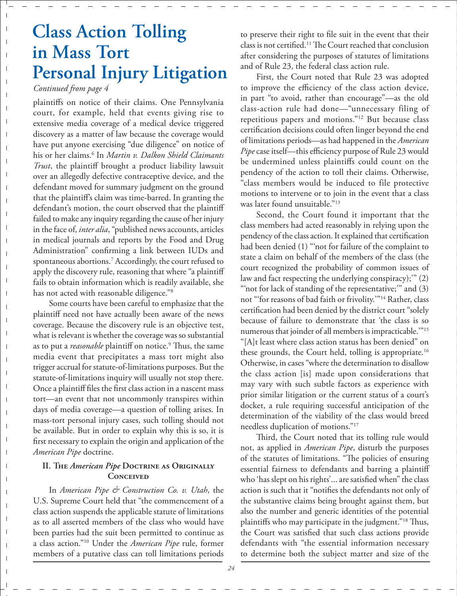## **Class Action Tolling in Mass Tort Personal Injury Litigation**

*Continued from page 4*

plaintiffs on notice of their claims. One Pennsylvania court, for example, held that events giving rise to extensive media coverage of a medical device triggered discovery as a matter of law because the coverage would have put anyone exercising "due diligence" on notice of his or her claims.6 In *Martin v. Dalkon Shield Claimants Trust*, the plaintiff brought a product liability lawsuit over an allegedly defective contraceptive device, and the defendant moved for summary judgment on the ground that the plaintiff's claim was time-barred. In granting the defendant's motion, the court observed that the plaintiff failed to make any inquiry regarding the cause of her injury in the face of, *inter alia*, "published news accounts, articles in medical journals and reports by the Food and Drug Administration" confirming a link between IUDs and spontaneous abortions.7 Accordingly, the court refused to apply the discovery rule, reasoning that where "a plaintiff fails to obtain information which is readily available, she has not acted with reasonable diligence."<sup>8</sup>

Some courts have been careful to emphasize that the plaintiff need not have actually been aware of the news coverage. Because the discovery rule is an objective test, what is relevant is whether the coverage was so substantial as to put a *reasonable* plaintiff on notice.<sup>9</sup> Thus, the same media event that precipitates a mass tort might also trigger accrual for statute-of-limitations purposes. But the statute-of-limitations inquiry will usually not stop there. Once a plaintiff files the first class action in a nascent mass tort—an event that not uncommonly transpires within days of media coverage—a question of tolling arises. In mass-tort personal injury cases, such tolling should not be available. But in order to explain why this is so, it is first necessary to explain the origin and application of the *American Pipe* doctrine.

#### **II. The** *American Pipe* **Doctrine as Originally Conceived**

In *American Pipe & Construction Co. v. Utah*, the U.S. Supreme Court held that "the commencement of a class action suspends the applicable statute of limitations as to all asserted members of the class who would have been parties had the suit been permitted to continue as a class action."10 Under the *American Pipe* rule, former members of a putative class can toll limitations periods

to preserve their right to file suit in the event that their class is not certified.<sup>11</sup> The Court reached that conclusion after considering the purposes of statutes of limitations and of Rule 23, the federal class action rule.

First, the Court noted that Rule 23 was adopted to improve the efficiency of the class action device, in part "to avoid, rather than encourage"—as the old class-action rule had done—"unnecessary filing of repetitious papers and motions."12 But because class certification decisions could often linger beyond the end of limitations periods—as had happened in the *American*  Pipe case itself—this efficiency purpose of Rule 23 would be undermined unless plaintiffs could count on the pendency of the action to toll their claims. Otherwise, "class members would be induced to file protective motions to intervene or to join in the event that a class was later found unsuitable."13

Second, the Court found it important that the class members had acted reasonably in relying upon the pendency of the class action. It explained that certification had been denied (1) "'not for failure of the complaint to state a claim on behalf of the members of the class (the court recognized the probability of common issues of law and fact respecting the underlying conspiracy);'" (2) "'not for lack of standing of the representative;" and (3) not "'for reasons of bad faith or frivolity.'"14 Rather, class certification had been denied by the district court "solely because of failure to demonstrate that 'the class is so numerous that joinder of all members is impracticable.'"15 "[A]t least where class action status has been denied" on these grounds, the Court held, tolling is appropriate.<sup>16</sup> Otherwise, in cases "where the determination to disallow the class action [is] made upon considerations that may vary with such subtle factors as experience with prior similar litigation or the current status of a court's docket, a rule requiring successful anticipation of the determination of the viability of the class would breed needless duplication of motions."17

Third, the Court noted that its tolling rule would not, as applied in *American Pipe*, disturb the purposes of the statutes of limitations. "The policies of ensuring essential fairness to defendants and barring a plaintiff who 'has slept on his rights'... are satisfied when" the class action is such that it "notifies the defendants not only of the substantive claims being brought against them, but also the number and generic identities of the potential plaintiffs who may participate in the judgment."<sup>18</sup> Thus, the Court was satisfied that such class actions provide defendants with "the essential information necessary to determine both the subject matter and size of the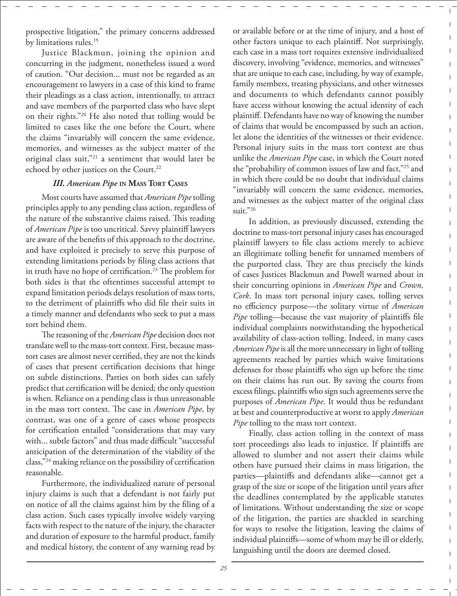prospective litigation," the primary concerns addressed by limitations rules.<sup>19</sup>

Justice Blackmun, joining the opinion and concurring in the judgment, nonetheless issued a word of caution. "Our decision... must not be regarded as an encouragement to lawyers in a case of this kind to frame their pleadings as a class action, intentionally, to attract and save members of the purported class who have slept on their rights."20 He also noted that tolling would be limited to cases like the one before the Court, where the claims "invariably will concern the same evidence, memories, and witnesses as the subject matter of the original class suit,"21 a sentiment that would later be echoed by other justices on the Court.<sup>22</sup>

#### *III. American Pipe* **IN MASS TORT CASES**

Most courts have assumed that *American Pipe* tolling principles apply to any pending class action, regardless of the nature of the substantive claims raised. This reading of *American Pipe* is too uncritical. Savvy plaintiff lawyers are aware of the benefits of this approach to the doctrine, and have exploited it precisely to serve this purpose of extending limitations periods by filing class actions that in truth have no hope of certification.<sup>23</sup> The problem for both sides is that the oftentimes successful attempt to expand limitation periods delays resolution of mass torts, to the detriment of plaintiffs who did file their suits in a timely manner and defendants who seek to put a mass tort behind them.

The reasoning of the *American Pipe* decision does not translate well to the mass-tort context. First, because masstort cases are almost never certified, they are not the kinds of cases that present certification decisions that hinge on subtle distinctions. Parties on both sides can safely predict that certification will be denied; the only question is when. Reliance on a pending class is thus unreasonable in the mass tort context. The case in *American Pipe*, by contrast, was one of a genre of cases whose prospects for certification entailed "considerations that may vary with... subtle factors" and thus made difficult "successful anticipation of the determination of the viability of the class,"<sup>24</sup> making reliance on the possibility of certification reasonable.

Furthermore, the individualized nature of personal injury claims is such that a defendant is not fairly put on notice of all the claims against him by the filing of a class action. Such cases typically involve widely varying facts with respect to the nature of the injury, the character and duration of exposure to the harmful product, family and medical history, the content of any warning read by or available before or at the time of injury, and a host of other factors unique to each plaintiff. Not surprisingly, each case in a mass tort requires extensive individualized discovery, involving "evidence, memories, and witnesses" that are unique to each case, including, by way of example, family members, treating physicians, and other witnesses and documents to which defendants cannot possibly have access without knowing the actual identity of each plaintiff. Defendants have no way of knowing the number of claims that would be encompassed by such an action, let alone the identities of the witnesses or their evidence. Personal injury suits in the mass tort context are thus unlike the *American Pipe* case, in which the Court noted the "probability of common issues of law and fact,"25 and in which there could be no doubt that individual claims "invariably will concern the same evidence, memories, and witnesses as the subject matter of the original class suit." $26$ 

In addition, as previously discussed, extending the doctrine to mass-tort personal injury cases has encouraged plaintiff lawyers to file class actions merely to achieve an illegitimate tolling benefit for unnamed members of the purported class. They are thus precisely the kinds of cases Justices Blackmun and Powell warned about in their concurring opinions in *American Pipe* and *Crown, Cork*. In mass tort personal injury cases, tolling serves no efficiency purpose—the solitary virtue of *American Pipe* tolling—because the vast majority of plaintiffs file individual complaints notwithstanding the hypothetical availability of class-action tolling. Indeed, in many cases *American Pipe* is all the more unnecessary in light of tolling agreements reached by parties which waive limitations defenses for those plaintiffs who sign up before the time on their claims has run out. By saving the courts from excess filings, plaintiffs who sign such agreements serve the purposes of *American Pipe*. It would thus be redundant at best and counterproductive at worst to apply *American Pipe* tolling to the mass tort context.

Finally, class action tolling in the context of mass tort proceedings also leads to injustice. If plaintiffs are allowed to slumber and not assert their claims while others have pursued their claims in mass litigation, the parties—plaintiffs and defendants alike—cannot get a grasp of the size or scope of the litigation until years after the deadlines contemplated by the applicable statutes of limitations. Without understanding the size or scope of the litigation, the parties are shackled in searching for ways to resolve the litigation, leaving the claims of individual plaintiffs-some of whom may be ill or elderly, languishing until the doors are deemed closed.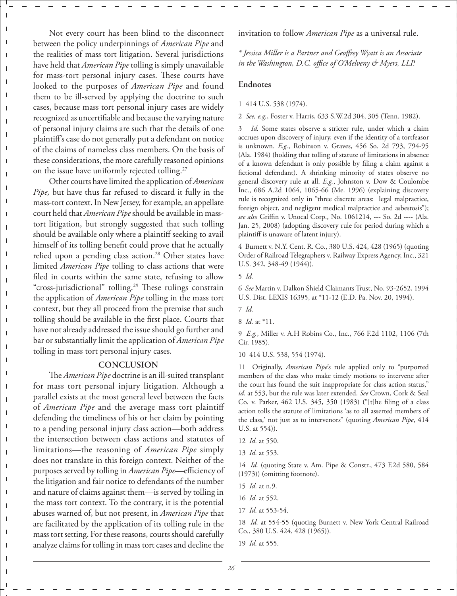Not every court has been blind to the disconnect between the policy underpinnings of *American Pipe* and the realities of mass tort litigation. Several jurisdictions have held that *American Pipe* tolling is simply unavailable for mass-tort personal injury cases. These courts have looked to the purposes of *American Pipe* and found them to be ill-served by applying the doctrine to such cases, because mass tort personal injury cases are widely recognized as uncertifiable and because the varying nature of personal injury claims are such that the details of one plaintiff's case do not generally put a defendant on notice of the claims of nameless class members. On the basis of these considerations, the more carefully reasoned opinions on the issue have uniformly rejected tolling.<sup>27</sup>

Other courts have limited the application of *American Pipe,* but have thus far refused to discard it fully in the mass-tort context. In New Jersey, for example, an appellate court held that *American Pipe* should be available in masstort litigation, but strongly suggested that such tolling should be available only where a plaintiff seeking to avail himself of its tolling benefit could prove that he actually relied upon a pending class action.<sup>28</sup> Other states have limited *American Pipe* tolling to class actions that were filed in courts within the same state, refusing to allow "cross-jurisdictional" tolling.<sup>29</sup> These rulings constrain the application of *American Pipe* tolling in the mass tort context, but they all proceed from the premise that such tolling should be available in the first place. Courts that have not already addressed the issue should go further and bar or substantially limit the application of *American Pipe* tolling in mass tort personal injury cases.

#### **CONCLUSION**

The *American Pipe* doctrine is an ill-suited transplant for mass tort personal injury litigation. Although a parallel exists at the most general level between the facts of *American Pipe* and the average mass tort plaintiff defending the timeliness of his or her claim by pointing to a pending personal injury class action—both address the intersection between class actions and statutes of limitations—the reasoning of *American Pipe* simply does not translate in this foreign context. Neither of the purposes served by tolling in *American Pipe*—efficiency of the litigation and fair notice to defendants of the number and nature of claims against them—is served by tolling in the mass tort context. To the contrary, it is the potential abuses warned of, but not present, in *American Pipe* that are facilitated by the application of its tolling rule in the mass tort setting. For these reasons, courts should carefully analyze claims for tolling in mass tort cases and decline the

invitation to follow *American Pipe* as a universal rule.

*\* Jessica Miller is a Partner and Geoff rey Wyatt is an Associate in the Washington, D.C. office of O'Melveny & Myers, LLP.* 

#### **Endnotes**

1 414 U.S. 538 (1974).

2 *See, e.g.*, Foster v. Harris, 633 S.W.2d 304, 305 (Tenn. 1982).

3 *Id.* Some states observe a stricter rule, under which a claim accrues upon discovery of injury, even if the identity of a tortfeasor is unknown. *E.g.*, Robinson v. Graves, 456 So. 2d 793, 794-95 (Ala. 1984) (holding that tolling of statute of limitations in absence of a known defendant is only possible by filing a claim against a fictional defendant). A shrinking minority of states observe no general discovery rule at all. *E.g.*, Johnston v. Dow & Coulombe Inc., 686 A.2d 1064, 1065-66 (Me. 1996) (explaining discovery rule is recognized only in "three discrete areas: legal malpractice, foreign object, and negligent medical malpractice and asbestosis"); see also Griffin v. Unocal Corp., No. 1061214, --- So. 2d ---- (Ala. Jan. 25, 2008) (adopting discovery rule for period during which a plaintiff is unaware of latent injury).

4 Burnett v. N.Y. Cent. R. Co., 380 U.S. 424, 428 (1965) (quoting Order of Railroad Telegraphers v. Railway Express Agency, Inc., 321 U.S. 342, 348-49 (1944)).

5 *Id.*

6 *See* Martin v. Dalkon Shield Claimants Trust, No. 93-2652, 1994 U.S. Dist. LEXIS 16395, at \*11-12 (E.D. Pa. Nov. 20, 1994).

9 *E.g.*, Miller v. A.H Robins Co., Inc., 766 F.2d 1102, 1106 (7th Cir. 1985).

10 414 U.S. 538, 554 (1974).

11 Originally, *American Pipe*'s rule applied only to "purported members of the class who make timely motions to intervene after the court has found the suit inappropriate for class action status," *id.* at 553, but the rule was later extended. *See* Crown, Cork & Seal Co. v. Parker, 462 U.S. 345, 350 (1983) ("[t]he filing of a class action tolls the statute of limitations 'as to all asserted members of the class,' not just as to intervenors" (quoting *American Pipe*, 414 U.S. at 554)).

- 12 *Id.* at 550.
- 13 *Id.* at 553.

14 *Id.* (quoting State v. Am. Pipe & Constr., 473 F.2d 580, 584 (1973)) (omitting footnote).

- 15 *Id.* at n.9.
- 16 *Id.* at 552.
- 17 *Id.* at 553-54.

18 *Id.* at 554-55 (quoting Burnett v. New York Central Railroad Co*.*, 380 U.S. 424, 428 (1965)).

19 *Id.* at 555.

<sup>7</sup> *Id.*

<sup>8</sup> *Id.* at \*11.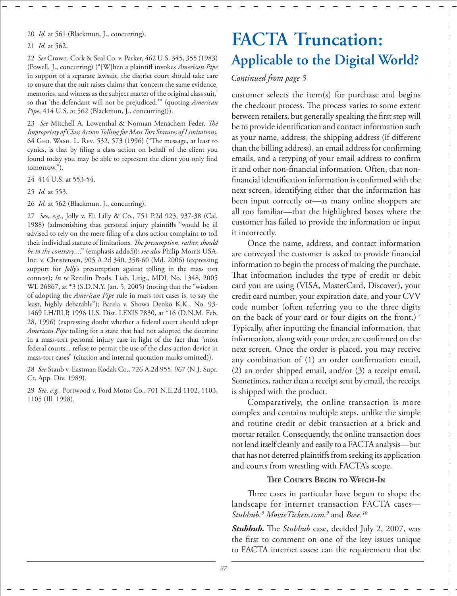20 *Id.* at 561 (Blackmun, J., concurring).

21 *Id.* at 562.

22 *See* Crown, Cork & Seal Co. v. Parker, 462 U.S. 345, 355 (1983) (Powell, J., concurring) ("[W]hen a plaintiff invokes *American Pipe* in support of a separate lawsuit, the district court should take care to ensure that the suit raises claims that 'concern the same evidence, memories, and witness as the subject matter of the original class suit,' so that 'the defendant will not be prejudiced.'" (quoting *American Pipe*, 414 U.S. at 562 (Blackmun, J., concurring))).

23 See Mitchell A. Lowenthal & Norman Menachem Feder, *The Impropriety of Class Action Tolling for Mass Tort Statutes of Limitations*, 64 GEO. WASH. L. REV. 532, 573 (1996) ("The message, at least to cynics, is that by filing a class action on behalf of the client you found today you may be able to represent the client you only find tomorrow.").

24 414 U.S. at 553-54,

25 *Id.* at 553.

26 *Id.* at 562 (Blackmun, J., concurring).

27 *See, e.g.*, Jolly v. Eli Lilly & Co., 751 P.2d 923, 937-38 (Cal. 1988) (admonishing that personal injury plaintiffs "would be ill advised to rely on the mere filing of a class action complaint to toll their individual statute of limitations. *The presumption, rather, should be to the contrary*...." (emphasis added)); *see also* Philip Morris USA, Inc. v. Christensen, 905 A.2d 340, 358-60 (Md. 2006) (expressing support for *Jolly*'s presumption against tolling in the mass tort context); *In re* Rezulin Prods. Liab. Litig., MDL No. 1348, 2005 WL 26867, at \*3 (S.D.N.Y. Jan. 5, 2005) (noting that the "wisdom of adopting the *American Pipe* rule in mass tort cases is, to say the least, highly debatable"); Barela v. Showa Denko K.K., No. 93- 1469 LH/RLP, 1996 U.S. Dist. LEXIS 7830, at \*16 (D.N.M. Feb. 28, 1996) (expressing doubt whether a federal court should adopt *American Pipe* tolling for a state that had not adopted the doctrine in a mass-tort personal injury case in light of the fact that "most federal courts... refuse to permit the use of the class-action device in mass-tort cases" (citation and internal quotation marks omitted)).

28 *See* Staub v. Eastman Kodak Co., 726 A.2d 955, 967 (N.J. Supr. Ct. App. Div. 1989).

29 *See, e.g.*, Portwood v. Ford Motor Co., 701 N.E.2d 1102, 1103, 1105 (Ill. 1998).

## **FACTA Truncation: Applicable to the Digital World?**

#### *Continued from page 5*

customer selects the item(s) for purchase and begins the checkout process. The process varies to some extent between retailers, but generally speaking the first step will be to provide identification and contact information such as your name, address, the shipping address (if different than the billing address), an email address for confirming emails, and a retyping of your email address to confirm it and other non-financial information. Often, that nonfinancial identification information is confirmed with the next screen, identifying either that the information has been input correctly or—as many online shoppers are all too familiar—that the highlighted boxes where the customer has failed to provide the information or input it incorrectly.

Once the name, address, and contact information are conveyed the customer is asked to provide financial information to begin the process of making the purchase. That information includes the type of credit or debit card you are using (VISA, MasterCard, Discover), your credit card number, your expiration date, and your CVV code number (often referring you to the three digits on the back of your card or four digits on the front.)<sup>7</sup> Typically, after inputting the financial information, that information, along with your order, are confirmed on the next screen. Once the order is placed, you may receive any combination of (1) an order confirmation email, (2) an order shipped email, and/or (3) a receipt email. Sometimes, rather than a receipt sent by email, the receipt is shipped with the product.

Comparatively, the online transaction is more complex and contains multiple steps, unlike the simple and routine credit or debit transaction at a brick and mortar retailer. Consequently, the online transaction does not lend itself cleanly and easily to a FACTA analysis—but that has not deterred plaintiffs from seeking its application and courts from wrestling with FACTA's scope.

#### **The Courts Begin to Weigh-In**

Three cases in particular have begun to shape the landscape for internet transaction FACTA cases— *Stubhub,8 MovieTickets.com,9* and *Bose.10*

Stubhub. The *Stubhub* case, decided July 2, 2007, was the first to comment on one of the key issues unique to FACTA internet cases: can the requirement that the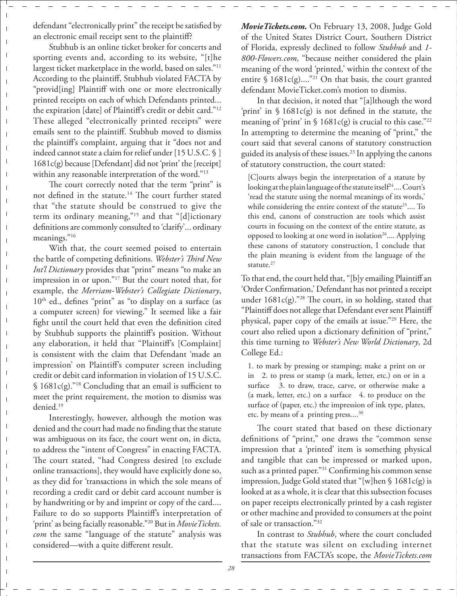defendant "electronically print" the receipt be satisfied by an electronic email receipt sent to the plaintiff?

Stubhub is an online ticket broker for concerts and sporting events and, according to its website, "[t]he largest ticket marketplace in the world, based on sales."11 According to the plaintiff, Stubhub violated FACTA by "provid[ing] Plaintiff with one or more electronically printed receipts on each of which Defendants printed... the expiration [date] of Plaintiff's credit or debit card."<sup>12</sup> These alleged "electronically printed receipts" were emails sent to the plaintiff. Stubhub moved to dismiss the plaintiff's complaint, arguing that it "does not and indeed cannot state a claim for relief under [15 U.S.C. § ] 1681c(g) because [Defendant] did not 'print' the [receipt] within any reasonable interpretation of the word."<sup>13</sup>

The court correctly noted that the term "print" is not defined in the statute.<sup>14</sup> The court further stated that "the statute should be construed to give the term its ordinary meaning,"15 and that "[d]ictionary definitions are commonly consulted to 'clarify'... ordinary meanings."<sup>16</sup>

With that, the court seemed poised to entertain the battle of competing definitions. Webster's Third New *Int'l Dictionary* provides that "print" means "to make an impression in or upon."17 But the court noted that, for example, the *Merriam-Webster's Collegiate Dictionary*,  $10<sup>th</sup>$  ed., defines "print" as "to display on a surface (as a computer screen) for viewing." It seemed like a fair fight until the court held that even the definition cited by Stubhub supports the plaintiff's position. Without any elaboration, it held that "Plaintiff's [Complaint] is consistent with the claim that Defendant 'made an impression' on Plaintiff's computer screen including credit or debit card information in violation of 15 U.S.C.  $$1681c(g).$ <sup>318</sup> Concluding that an email is sufficient to meet the print requirement, the motion to dismiss was denied.19

Interestingly, however, although the motion was denied and the court had made no finding that the statute was ambiguous on its face, the court went on, in dicta*,* to address the "intent of Congress" in enacting FACTA. The court stated, "had Congress desired [to exclude online transactions], they would have explicitly done so, as they did for 'transactions in which the sole means of recording a credit card or debit card account number is by handwriting or by and imprint or copy of the card.... Failure to do so supports Plaintiff's interpretation of 'print' as being facially reasonable."20 But in *MovieTickets. com* the same "language of the statute" analysis was considered—with a quite different result.

*MovieTickets.com.* On February 13, 2008, Judge Gold of the United States District Court, Southern District of Florida, expressly declined to follow *Stubhub* and *1- 800-Flowers.com*, "because neither considered the plain meaning of the word 'printed,' within the context of the entire  $\int 1681c(g)...^{n^{21}}$  On that basis, the court granted defendant MovieTicket.com's motion to dismiss.

In that decision, it noted that "[a]lthough the word 'print' in  $\S 1681c(g)$  is not defined in the statute, the meaning of 'print' in  $\frac{1}{8}$  1681c(g) is crucial to this case."<sup>22</sup> In attempting to determine the meaning of "print," the court said that several canons of statutory construction guided its analysis of these issues.<sup>23</sup> In applying the canons of statutory construction, the court stated:

[C]ourts always begin the interpretation of a statute by looking at the plain language of the statute itself<sup>24</sup>.... Court's 'read the statute using the normal meanings of its words,' while considering the entire context of the statute<sup>25</sup>.... To this end, canons of construction are tools which assist courts in focusing on the context of the entire statute, as opposed to looking at one word in isolation<sup>26</sup>.... Applying these canons of statutory construction, I conclude that the plain meaning is evident from the language of the statute.<sup>27</sup>

To that end, the court held that, "[b]y emailing Plaintiff an 'Order Confirmation,' Defendant has not printed a receipt under  $1681c(g)$ ."<sup>28</sup> The court, in so holding, stated that "Plaintiff does not allege that Defendant ever sent Plaintiff physical, paper copy of the emails at issue."29 Here, the court also relied upon a dictionary definition of "print," this time turning to *Webster's New World Dictionary*, 2d College Ed.:

1. to mark by pressing or stamping; make a print on or in 2. to press or stamp (a mark, letter, etc.) on or in a surface 3. to draw, trace, carve, or otherwise make a (a mark, letter, etc.) on a surface 4. to produce on the surface of (paper, etc.) the impression of ink type, plates, etc. by means of a printing press....30

The court stated that based on these dictionary definitions of "print," one draws the "common sense impression that a 'printed' item is something physical and tangible that can be impressed or marked upon, such as a printed paper."<sup>31</sup> Confirming his common sense impression, Judge Gold stated that "[w]hen § 1681c(g) is looked at as a whole, it is clear that this subsection focuses on paper receipts electronically printed by a cash register or other machine and provided to consumers at the point of sale or transaction."32

In contrast to *Stubhub*, where the court concluded that the statute was silent on excluding internet transactions from FACTA's scope, the *MovieTickets.com*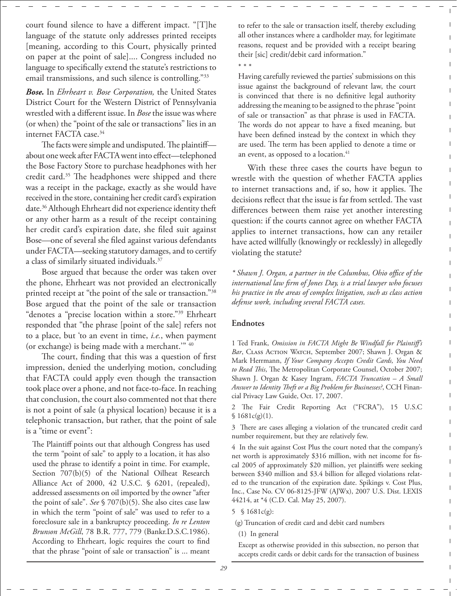court found silence to have a different impact. "[T]he language of the statute only addresses printed receipts [meaning, according to this Court, physically printed on paper at the point of sale].... Congress included no language to specifically extend the statute's restrictions to email transmissions, and such silence is controlling."33

*Bose.* In *Ehrheart v. Bose Corporation,* the United States District Court for the Western District of Pennsylvania wrestled with a different issue. In *Bose* the issue was where (or when) the "point of the sale or transactions" lies in an internet FACTA case.34

The facts were simple and undisputed. The plaintiffabout one week after FACTA went into effect-telephoned the Bose Factory Store to purchase headphones with her credit card.<sup>35</sup> The headphones were shipped and there was a receipt in the package, exactly as she would have received in the store, containing her credit card's expiration date.36 Although Ehrheart did not experience identity theft or any other harm as a result of the receipt containing her credit card's expiration date, she filed suit against Bose—one of several she filed against various defendants under FACTA—seeking statutory damages, and to certify a class of similarly situated individuals.37

Bose argued that because the order was taken over the phone, Ehrheart was not provided an electronically printed receipt at "the point of the sale or transaction."38 Bose argued that the point of the sale or transaction "denotes a "precise location within a store."39 Ehrheart responded that "the phrase [point of the sale] refers not to a place, but 'to an event in time, *i.e.*, when payment (or exchange) is being made with a merchant.'" 40

The court, finding that this was a question of first impression, denied the underlying motion, concluding that FACTA could apply even though the transaction took place over a phone, and not face-to-face. In reaching that conclusion, the court also commented not that there is not a point of sale (a physical location) because it is a telephonic transaction, but rather, that the point of sale is a "time or event":

The Plaintiff points out that although Congress has used the term "point of sale" to apply to a location, it has also used the phrase to identify a point in time. For example, Section 707(b)(5) of the National Oilheat Research Alliance Act of 2000, 42 U.S.C. § 6201, (repealed), addressed assessments on oil imported by the owner "after the point of sale". *See* § 707(b)(5). She also cites case law in which the term "point of sale" was used to refer to a foreclosure sale in a bankruptcy proceeding. *In re Lenton Brunson McGill*, 78 B.R. 777, 779 (Bankr.D.S.C.1986). According to Ehrheart, logic requires the court to find that the phrase "point of sale or transaction" is ... meant

to refer to the sale or transaction itself, thereby excluding all other instances where a cardholder may, for legitimate reasons, request and be provided with a receipt bearing their [sic] credit/debit card information."

\* \* \*

Having carefully reviewed the parties' submissions on this issue against the background of relevant law, the court is convinced that there is no definitive legal authority addressing the meaning to be assigned to the phrase "point of sale or transaction" as that phrase is used in FACTA. The words do not appear to have a fixed meaning, but have been defined instead by the context in which they are used. The term has been applied to denote a time or an event, as opposed to a location.<sup>41</sup>

With these three cases the courts have begun to wrestle with the question of whether FACTA applies to internet transactions and, if so, how it applies. The decisions reflect that the issue is far from settled. The vast differences between them raise yet another interesting question: if the courts cannot agree on whether FACTA applies to internet transactions, how can any retailer have acted willfully (knowingly or recklessly) in allegedly violating the statute?

 $*$  Shawn J. Organ, a partner in the Columbus, Ohio office of the international law firm of Jones Day, is a trial lawyer who focuses *his practice in the areas of complex litigation, such as class action defense work, including several FACTA cases.*

#### **Endnotes**

1 Ted Frank, *Omission in FACTA Might Be Windfall for Plaintiff 's*  Bar, CLAss Action Watch, September 2007; Shawn J. Organ & Mark Herrmann, *If Your Company Accepts Credit Cards, You Need*  to Read This, The Metropolitan Corporate Counsel, October 2007; Shawn J. Organ & Kasey Ingram, *FACTA Truncation – A Small*  Answer to Identity Theft or a Big Problem for Businesses?, CCH Financial Privacy Law Guide, Oct. 17, 2007.

2 The Fair Credit Reporting Act ("FCRA"), 15 U.S.C  $$1681c(g)(1).$ 

3 There are cases alleging a violation of the truncated credit card number requirement, but they are relatively few.

4 In the suit against Cost Plus the court noted that the company's net worth is approximately \$316 million, with net income for fiscal 2005 of approximately \$20 million, yet plaintiffs were seeking between \$340 million and \$3.4 billion for alleged violations related to the truncation of the expiration date. Spikings v. Cost Plus, Inc., Case No. CV 06-8125-JFW (AJWx), 2007 U.S. Dist. LEXIS 44214, at \*4 (C.D. Cal. May 25, 2007).

(g) Truncation of credit card and debit card numbers

(1) In general

Except as otherwise provided in this subsection, no person that accepts credit cards or debit cards for the transaction of business

<sup>5 § 1681</sup>c(g):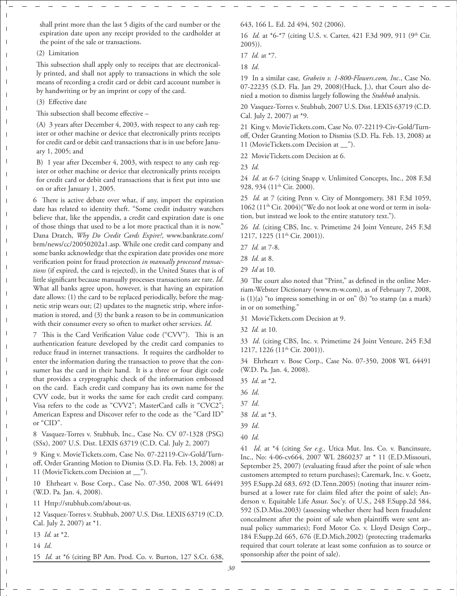shall print more than the last 5 digits of the card number or the expiration date upon any receipt provided to the cardholder at the point of the sale or transactions.

(2) Limitation

This subsection shall apply only to receipts that are electronically printed, and shall not apply to transactions in which the sole means of recording a credit card or debit card account number is by handwriting or by an imprint or copy of the card.

(3) Effective date

This subsection shall become effective -

(A) 3 years after December 4, 2003, with respect to any cash register or other machine or device that electronically prints receipts for credit card or debit card transactions that is in use before January 1, 2005; and

B) 1 year after December 4, 2003, with respect to any cash register or other machine or device that electronically prints receipts for credit card or debit card transactions that is first put into use on or after January 1, 2005.

6 There is active debate over what, if any, import the expiration date has related to identity theft. "Some credit industry watchers believe that, like the appendix, a credit card expiration date is one of those things that used to be a lot more practical than it is now." Dana Dratch, *Why Do Credit Cards Expire?*, www.bankrate.com/ brm/news/cc/20050202a1.asp. While one credit card company and some banks acknowledge that the expiration date provides one more verification point for fraud protection *in manually processed transactions* (if expired, the card is rejected), in the United States that is of little significant because manually processes transactions are rare. *Id*. What all banks agree upon, however, is that having an expiration date allows: (1) the card to be replaced periodically, before the magnetic strip wears out; (2) updates to the magnetic strip, where information is stored, and (3) the bank a reason to be in communication with their consumer every so often to market other services. *Id*.

7 This is the Card Verification Value code ("CVV"). This is an authentication feature developed by the credit card companies to reduce fraud in internet transactions. It requires the cardholder to enter the information during the transaction to prove that the consumer has the card in their hand. It is a three or four digit code that provides a cryptographic check of the information embossed on the card. Each credit card company has its own name for the CVV code, but it works the same for each credit card company. Visa refers to the code as "CVV2"; MasterCard calls it "CVC2"; American Express and Discover refer to the code as the "Card ID" or "CID".

8Vasquez-Torres v. Stubhub, Inc., Case No. CV 07-1328 (PSG) (SSx), 2007 U.S. Dist. LEXIS 63719 (C.D. Cal. July 2, 2007)

9 King v. MovieTickets.com, Case No. 07-22119-Civ-Gold/Turnoff, Order Granting Motion to Dismiss (S.D. Fla. Feb. 13, 2008) at 11 (MovieTickets.com Decision at \_\_").

10Ehrheart v. Bose Corp., Case No. 07-350, 2008 WL 64491 (W.D. Pa. Jan. 4, 2008).

11 Http://stubhub.com/about-us.

12 Vasquez-Torres v. Stubhub, 2007 U.S. Dist. LEXIS 63719 (C.D. Cal. July 2, 2007) at \*1.

- 13 *Id.* at \*2.
- 14 *Id*.

15 *Id.* at \*6 (citing BP Am. Prod. Co. v. Burton, 127 S.Ct. 638,

643, 166 L. Ed. 2d 494, 502 (2006).

16 *Id.* at \*6-\*7 (citing U.S. v. Carter, 421 F.3d 909, 911 (9<sup>th</sup> Cir. 2005)).

17 *Id.* at \*7.

18 *Id*.

19 In a similar case*, Grabein v. 1-800-Flowers.com, Inc*., Case No. 07-22235 (S.D. Fla. Jan 29, 2008)(Huck, J.), that Court also denied a motion to dismiss largely following the *Stubhub* analysis.

20 Vasquez-Torres v. Stubhub, 2007 U.S. Dist. LEXIS 63719 (C.D. Cal. July 2, 2007) at \*9.

21 King v. MovieTickets.com, Case No. 07-22119-Civ-Gold/Turnoff, Order Granting Motion to Dismiss (S.D. Fla. Feb. 13, 2008) at

11 (MovieTickets.com Decision at \_\_"). 22 MovieTickets.com Decision at 6.

23 *Id.*

24 *Id.* at 6-7 (citing Snapp v. Unlimited Concepts, Inc., 208 F.3d 928, 934 (11<sup>th</sup> Cir. 2000).

25 *Id.* at 7 (citing Penn v. City of Montgomery, 381 F.3d 1059,  $1062$  ( $11<sup>th</sup>$  Cir. 2004)("We do not look at one word or term in isolation, but instead we look to the entire statutory text.").

26 *Id.* (citing CBS, Inc. v. Primetime 24 Joint Venture, 245 F.3d 1217, 1225 (11<sup>th</sup> Cir. 2001)).

- 27 *Id.* at 7-8.
- 28 *Id.* at 8.
- 29 *Id* at 10.

30 The court also noted that "Print," as defined in the online Merriam-Webster Dictionary (www.m-w.com), as of February 7, 2008, is (1)(a) "to impress something in or on" (b) "to stamp (as a mark) in or on something."

31 MovieTickets.com Decision at 9.

33 *Id*. (citing CBS, Inc. v. Primetime 24 Joint Venture, 245 F.3d 1217, 1226 (11th Cir. 2001)).

34 Ehrheart v. Bose Corp., Case No. 07-350, 2008 WL 64491 (W.D. Pa. Jan. 4, 2008).

- 35 *Id*. at \*2.
- 36 *Id*.
- 37 *Id*.
- 38 *Id*. at \*3.
- 39 *Id*.
- 40 *Id.*

41 *Id*. at \*4 (citing *See e.g.,* Utica Mut. Ins. Co. v. Bancinsure, Inc., No: 4-06-cv664, 2007 WL 2860237 at \* 11 (E.D.Missouri, September 25, 2007) (evaluating fraud after the point of sale when customers attempted to return purchases); Caremark, Inc. v. Goetz, 395 F.Supp.2d 683, 692 (D.Tenn.2005) (noting that insurer reimbursed at a lower rate for claim filed after the point of sale); Anderson v. Equitable Life Assur. Soc'y. of U.S., 248 F.Supp.2d 584, 592 (S.D.Miss.2003) (assessing whether there had been fraudulent concealment after the point of sale when plaintiffs were sent annual policy summaries); Ford Motor Co. v. Lloyd Design Corp., 184 F.Supp.2d 665, 676 (E.D.Mich.2002) (protecting trademarks required that court tolerate at least some confusion as to source or sponsorship after the point of sale).

<sup>32</sup> *Id.* at 10.